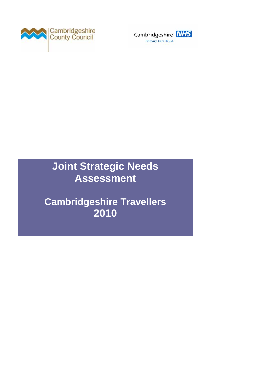



# **Joint Strategic Needs Assessment**

**Cambridgeshire Travellers 2010**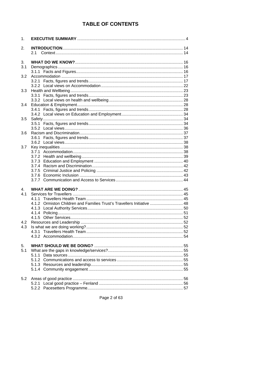# **TABLE OF CONTENTS**

| 1.  |                                                                        |  |
|-----|------------------------------------------------------------------------|--|
| 2.  |                                                                        |  |
|     | 2.1                                                                    |  |
| 3.  |                                                                        |  |
| 3.1 |                                                                        |  |
|     |                                                                        |  |
| 3.2 |                                                                        |  |
|     |                                                                        |  |
|     |                                                                        |  |
| 3.3 |                                                                        |  |
|     |                                                                        |  |
|     |                                                                        |  |
| 3.4 |                                                                        |  |
|     |                                                                        |  |
| 3.5 |                                                                        |  |
|     |                                                                        |  |
|     |                                                                        |  |
| 3.6 |                                                                        |  |
|     |                                                                        |  |
|     |                                                                        |  |
| 3.7 |                                                                        |  |
|     |                                                                        |  |
|     |                                                                        |  |
|     |                                                                        |  |
|     |                                                                        |  |
|     |                                                                        |  |
|     |                                                                        |  |
|     |                                                                        |  |
| 4.  |                                                                        |  |
| 4.1 |                                                                        |  |
|     |                                                                        |  |
|     | 4.1.2 Ormiston Children and Families Trust's Travellers Initiative  48 |  |
|     |                                                                        |  |
|     |                                                                        |  |
| 4.2 |                                                                        |  |
| 4.3 |                                                                        |  |
|     |                                                                        |  |
|     |                                                                        |  |
|     |                                                                        |  |
| 5.  |                                                                        |  |
| 5.1 |                                                                        |  |
|     |                                                                        |  |
|     |                                                                        |  |
|     |                                                                        |  |
|     |                                                                        |  |
| 5.2 |                                                                        |  |
|     |                                                                        |  |
|     |                                                                        |  |
|     |                                                                        |  |

Page 2 of 63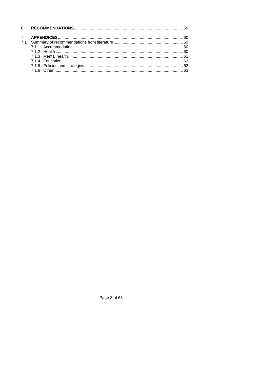Page 3 of 63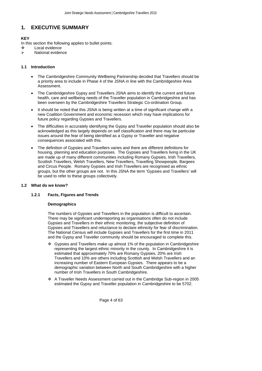# <span id="page-3-0"></span>**1. EXECUTIVE SUMMARY**

# **KEY**

In this section the following applies to bullet points:

- Local evidence
- ¾ National evidence

# **1.1 Introduction**

- The Cambridgeshire Community Wellbeing Partnership decided that Travellers should be a priority area to include in Phase 4 of the JSNA in line with the Cambridgeshire Area Assessment.
- The Cambridgeshire Gypsy and Travellers JSNA aims to identify the current and future health, care and wellbeing needs of the Traveller population in Cambridgeshire and has been overseen by the Cambridgeshire Travellers Strategic Co-ordination Group.
- It should be noted that this JSNA is being written at a time of significant change with a new Coalition Government and economic recession which may have implications for future policy regarding Gypsies and Travellers.
- The difficulties in accurately identifying the Gypsy and Traveller population should also be acknowledged as this largely depends on self classification and there may be particular issues around the fear of being identified as a Gypsy or Traveller and negative consequences associated with this.
- The definition of Gypsies and Travellers varies and there are different definitions for housing, planning and education purposes. The Gypsies and Travellers living in the UK are made up of many different communities including Romany Gypsies, Irish Travellers, Scottish Travellers, Welsh Travellers, New Travellers, Travelling Showpeople, Bargees and Circus People. Romany Gypsies and Irish Travellers are recognised as ethnic groups, but the other groups are not. In this JSNA the term 'Gypsies and Travellers' will be used to refer to these groups collectively.

# **1.2 What do we know?**

# **1.2.1 Facts, Figures and Trends**

#### **Demographics**

The numbers of Gypsies and Travellers in the population is difficult to ascertain. There may be significant underreporting as organisations often do not include Gypsies and Travellers in their ethnic monitoring, the subjective definition of Gypsies and Travellers and reluctance to declare ethnicity for fear of discrimination. The National Census will include Gypsies and Travellers for the first time in 2011 and the Gypsy and Traveller community should be encouraged to complete this.

- Gypsies and Travellers make up almost 1% of the population in Cambridgeshire representing the largest ethnic minority in the county. In Cambridgeshire it is estimated that approximately 70% are Romany Gypsies, 20% are Irish Travellers and 10% are others including Scottish and Welsh Travellers and an increasing number of Eastern European Gypsies. There appears to be a demographic variation between North and South Cambridgeshire with a higher number of Irish Travellers in South Cambridgeshire.
- A Traveller Needs Assessment carried out in the Cambridge Sub-region in 2005 estimated the Gypsy and Traveller population in Cambridgeshire to be 5702.

Page 4 of 63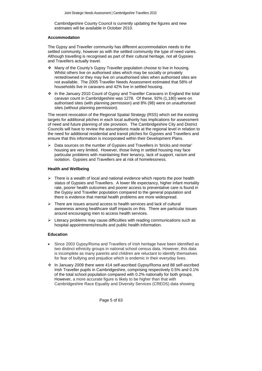Cambridgeshire County Council is currently updating the figures and new estimates will be available in October 2010.

## **Accommodation**

The Gypsy and Traveller community has different accommodation needs to the settled community, however as with the settled community the type of need varies. Although travelling is recognised as part of their cultural heritage, not all Gypsies and Travellers actually travel.

- Many of the County's Gypsy Traveller population choose to live in housing. Whilst others live on authorised sites which may be socially or privately rented/owned or they may live on unauthorised sites when authorised sites are not available. The 2005 Traveller Needs Assessment estimated that 58% of households live in caravans and 42% live in settled housing.
- \* In the January 2010 Count of Gypsy and Traveller Caravans in England the total caravan count in Cambridgeshire was 1278. Of these, 92% (1,180) were on authorised sites (with planning permission) and 8% (98) were on unauthorised sites (without planning permission).

The recent revocation of the Regional Spatial Strategy (RSS) which set the existing targets for additional pitches in each local authority has implications for assessment of need and future planning of site provision. The Cambridgeshire City and District Councils will have to review the assumptions made at the regional level in relation to the need for additional residential and transit pitches for Gypsies and Travellers and ensure that this information is incorporated within their Development Plans.

¾ Data sources on the number of Gypsies and Travellers in 'bricks and mortar' housing are very limited. However, those living in settled housing may face particular problems with maintaining their tenancy, lack of support, racism and isolation. Gypsies and Travellers are at risk of homelessness.

#### **Health and Wellbeing**

- $\triangleright$  There is a wealth of local and national evidence which reports the poor health status of Gypsies and Travellers. A lower life expectancy, higher infant mortality rate, poorer health outcomes and poorer access to preventative care is found in the Gypsy and Traveller population compared to the general population and there is evidence that mental health problems are more widespread.
- $\triangleright$  There are issues around access to health services and lack of cultural awareness among healthcare staff impacts on this. There are particular issues around encouraging men to access health services.
- $\triangleright$  Literacy problems may cause difficulties with reading communications such as hospital appointments/results and public health information.

#### **Education**

- Since 2003 Gypsy/Roma and Travellers of Irish heritage have been identified as two distinct ethnicity groups in national school census data. However, this data is incomplete as many parents and children are reluctant to identify themselves for fear of bullying and prejudice which is endemic in their everyday lives.
- In January 2009 there were 414 self-ascribed Gypsy/Roma and 88 self-ascribed Irish Traveller pupils in Cambridgeshire, comprising respectively 0.5% and 0.1% of the total school population compared with 0.2% nationally for both groups. However, a more accurate figure is likely to be higher than that with Cambridgeshire Race Equality and Diversity Services (CREDS) data showing

Page 5 of 63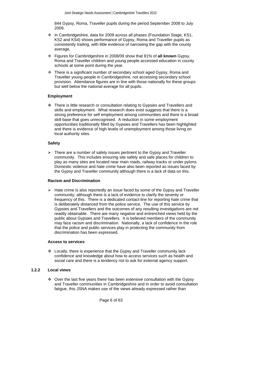844 Gypsy, Roma, Traveller pupils during the period September 2008 to July 2009.

- \* In Cambridgeshire, data for 2009 across all phases (Foundation Stage, KS1, KS2 and KS4) shows performance of Gypsy, Roma and Traveller pupils as consistently trailing, with little evidence of narrowing the gap with the county average.
- Figures for Cambridgeshire in 2008/09 show that 81% of **all known** Gypsy, Roma and Traveller children and young people accessed education in county schools at some point during the year.
- There is a significant number of secondary school aged Gypsy, Roma and Traveller young people in Cambridgeshire, not accessing secondary school provision. Attendance figures are in line with those nationally for these groups but well below the national average for all pupils.

#### **Employment**

 There is little research or consultation relating to Gypsies and Travellers and skills and employment. What research does exist suggests that there is a strong preference for self employment among communities and there is a broad skill base that goes unrecognised. A reduction in some employment opportunities traditionally filled by Gypsies and Travellers has been highlighted and there is evidence of high levels of unemployment among those living on local authority sites.

#### **Safety**

 $\triangleright$  There are a number of safety issues pertinent to the Gypsy and Traveller community. This includes ensuring site safety and safe places for children to play as many sites are located near main roads, railway tracks or under pylons. Domestic violence and hate crime have also been reported as issues faced by the Gypsy and Traveller community although there is a lack of data on this.

#### **Racism and Discrimination**

 $\triangleright$  Hate crime is also reportedly an issue faced by some of the Gypsy and Traveller community; although there is a lack of evidence to clarify the severity or frequency of this. There is a dedicated contact-line for reporting hate crime that is deliberately distanced from the police service. The use of this service by Gypsies and Travellers and the outcomes of any resulting investigations are not readily obtainable. There are many negative and entrenched views held by the public about Gypsies and Travellers. It is believed members of the community may face racism and discrimination. Nationally, a lack of confidence in the role that the police and public services play in protecting the community from discrimination has been expressed.

#### **Access to services**

 Locally, there is experience that the Gypsy and Traveller community lack confidence and knowledge about how to access services such as health and social care and there is a tendency not to ask for external agency support.

#### **1.2.2 Local views**

 $\div$  Over the last five years there has been extensive consultation with the Gypsy and Traveller communities in Cambridgeshire and in order to avoid consultation fatigue, this JSNA makes use of the views already expressed rather than

Page 6 of 63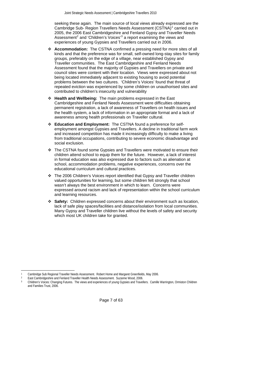seeking these again. The main source of local views already expressed are the Cambridge Sub- Region Travellers Needs Assessment (CSTNA)<sup>[1](#page-6-0)</sup> carried out in 2005, the 2006 East Cambridgeshire and Fenland Gypsy and Traveller Needs Assessment<sup>[2](#page-6-1)</sup> and 'Children's Voices<sup>'[3](#page-6-2)</sup> a report examining the views and experiences of young Gypsies and Travellers carried out in 2006.

- **Accommodation:** The CSTNA confirmed a pressing need for more sites of all kinds and that the preference was for small, self-owned long-stay sites for family groups, preferably on the edge of a village, near established Gypsy and Traveller communities. The East Cambridgeshire and Fenland Needs Assessment found that the majority of Gypsies and Travellers on private and council sites were content with their location. Views were expressed about not being located immediately adjacent to existing housing to avoid potential problems between the two cultures. 'Children's Voices' found that threat of repeated eviction was experienced by some children on unauthorised sites and contributed to children's insecurity and vulnerability
- **Health and Wellbeing:** The main problems expressed in the East Cambridgeshire and Fenland Needs Assessment were difficulties obtaining permanent registration, a lack of awareness of Travellers on health issues and the health system, a lack of information in an appropriate format and a lack of awareness among health professionals on Traveller cultural.
- **Education and Employment:** The CSTNA found a preference for selfemployment amongst Gypsies and Travellers. A decline in traditional farm work and increased competition has made it increasingly difficulty to make a living from traditional occupations, contributing to severe economic disadvantage and social exclusion.
- \* The CSTNA found some Gypsies and Travellers were motivated to ensure their children attend school to equip them for the future. However, a lack of interest in formal education was also expressed due to factors such as alienation at school, accommodation problems, negative experiences, concerns over the educational curriculum and cultural practices.
- The 2006 Children's Voices report identified that Gypsy and Traveller children valued opportunities for learning, but some children felt strongly that school wasn't always the best environment in which to learn. Concerns were expressed around racism and lack of representation within the school curriculum and learning resources.
- **Safety:** Children expressed concerns about their environment such as location, lack of safe play spaces/facilities and distance/isolation from local communities. Many Gypsy and Traveller children live without the levels of safety and security which most UK children take for granted.

l

<sup>1</sup> Cambridge Sub Regional Traveller Needs Assessment. Robert Home and Margaret Greenfields, May 2006.

<sup>&</sup>lt;sup>2</sup> East Cambridgeshire and Fenland Traveller Health Needs Assessment. Suzanne Wood, 2006.<br><sup>2</sup> Children's Veigos: Changing Futures. The views and avasiances of veuge Cuncise and Travel

<span id="page-6-2"></span><span id="page-6-1"></span><span id="page-6-0"></span><sup>3</sup> Children's Voices: Changing Futures. The views and experiences of young Gypsies and Travellers. Camille Warrington, Ormiston Children and Families Trust, 2006.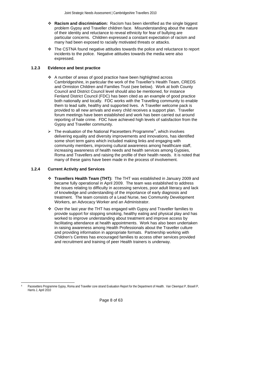- **Racism and discrimination:** Racism has been identified as the single biggest problem Gypsy and Traveller children face. Misunderstanding about the nature of their identity and reluctance to reveal ethnicity for fear of bullying are particular concerns. Children expressed a constant expectation of racism and many had been exposed to racially motivated threats or attacks.
- The CSTNA found negative attitudes towards the police and reluctance to report incidents to the police. Negative attitudes towards the media were also expressed.

# **1.2.3 Evidence and best practice**

- A number of areas of good practice have been highlighted across Cambridgeshire, in particular the work of the Traveller's Health Team, CREDS and Ormiston Children and Families Trust (see below). Work at both County Council and District Council level should also be mentioned, for instance Fenland District Council (FDC) has been cited as an example of good practice both nationally and locally. FDC works with the Travelling community to enable them to lead safe, healthy and supported lives. A Traveller welcome pack is provided to all new arrivals and every child receives a support plan. Traveller forum meetings have been established and work has been carried out around reporting of hate crime. FDC have achieved high levels of satisfaction from the Gypsy and Traveller community.
- $\triangleright$  The evaluation of the National Pacesetters Programme<sup>[4](#page-7-0)</sup>, which involves delivering equality and diversity improvements and innovations, has identified some short term gains which included making links and engaging with community members, improving cultural awareness among healthcare staff, increasing awareness of health needs and health services among Gypsies, Roma and Travellers and raising the profile of their health needs. It is noted that many of these gains have been made in the process of involvement.

# **1.2.4 Current Activity and Services**

- **Travellers Health Team (THT):** The THT was established in January 2009 and became fully operational in April 2009. The team was established to address the issues relating to difficulty in accessing services, poor adult literacy and lack of knowledge and understanding of the importance of early diagnosis and treatment. The team consists of a Lead Nurse, two Community Development Workers, an Advocacy Worker and an Administrator.
- $\div$  Over the last year the THT has engaged with Gypsy and Traveller families to provide support for stopping smoking, healthy eating and physical play and has worked to improve understanding about treatment and improve access by facilitating attendance at health appointments. Work has also been undertaken in raising awareness among Health Professionals about the Traveller culture and providing information in appropriate formats. Partnership working with Children's Centres has encouraged families to access other services provided and recruitment and training of peer Health trainers is underway.

<span id="page-7-0"></span>l 4 Pacesetters Programme Gypsy, Roma and Traveller core strand Evaluation Report for the Department of Health. Van Cleemput P, Bissell P, Harris J, April 2010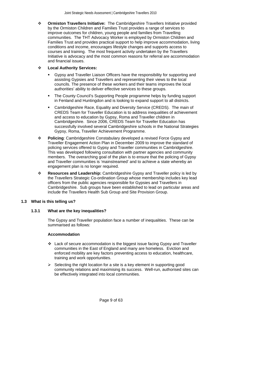**Ormiston Travellers Initiative:** The Cambridgeshire Travellers Initiative provided by the Ormiston Children and Families Trust provides a range of services to improve outcomes for children, young people and families from Travelling communities. The THT Advocacy Worker is employed by Ormiston Children and Families Trust and provides practical support to help improve accommodation, living conditions and income, encourages lifestyle changes and supports access to courses and training. The most frequent activity undertaken by the Travellers Initiative is advocacy and the most common reasons for referral are accommodation and financial issues.

# **Local Authority Services:**

- Gypsy and Traveller Liaison Officers have the responsibility for supporting and assisting Gypsies and Travellers and representing their views to the local councils. The presence of these workers and their teams improves the local authorities' ability to deliver effective services to these groups.
- The County Council's Supporting People programme helps by funding support in Fenland and Huntingdon and is looking to expand support to all districts.
- Cambridgeshire Race, Equality and Diversity Service (CREDS). The main of CREDS Team for Traveller Education is to address inequalities of achievement and access to education by Gypsy, Roma and Traveller children in Cambridgeshire. Since 2006, CREDS Team for Traveller Education has successfully involved several Cambridgeshire schools in the National Strategies Gypsy, Roma, Traveller Achievement Programme.
- **Policing**: Cambridgeshire Constabulary developed a revised Force Gypsy and Traveller Engagement Action Plan in December 2009 to improve the standard of policing services offered to Gypsy and Traveller communities in Cambridgeshire. This was developed following consultation with partner agencies and community members. The overarching goal of the plan is to ensure that the policing of Gypsy and Traveller communities is 'mainstreamed' and to achieve a state whereby an engagement plan is no longer required.
- **Resources and Leadership:** Cambridgeshire Gypsy and Traveller policy is led by the Travellers Strategic Co-ordination Group whose membership includes key lead officers from the public agencies responsible for Gypsies and Travellers in Cambridgeshire. Sub groups have been established to lead on particular areas and include the Travellers Health Sub Group and Site Provision Group.

# **1.3 What is this telling us?**

# **1.3.1 What are the key inequalities?**

The Gypsy and Traveller population face a number of inequalities. These can be summarised as follows:

#### **Accommodation**

- Lack of secure accommodation is the biggest issue facing Gypsy and Traveller communities in the East of England and many are homeless. Eviction and enforced mobility are key factors preventing access to education, healthcare, training and work opportunities.
- $\triangleright$  Selecting the right location for a site is a key element in supporting good community relations and maximising its success. Well-run, authorised sites can be effectively integrated into local communities.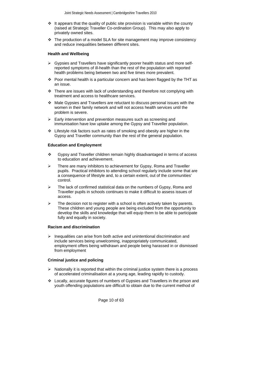- $\cdot \cdot$  It appears that the quality of public site provision is variable within the county (raised at Strategic Traveller Co-ordination Group). This may also apply to privately owned sites.
- $\div$  The production of a model SLA for site management may improve consistency and reduce inequalities between different sites.

#### **Health and Wellbeing**

- $\triangleright$  Gypsies and Travellers have significantly poorer health status and more selfreported symptoms of ill-health than the rest of the population with reported health problems being between two and five times more prevalent.
- $\div$  Poor mental health is a particular concern and has been flagged by the THT as an issue.
- $\div$  There are issues with lack of understanding and therefore not complying with treatment and access to healthcare services.
- Male Gypsies and Travellers are reluctant to discuss personal issues with the women in their family network and will not access health services until the problem is severe.
- $\triangleright$  Early intervention and prevention measures such as screening and immunisation have low uptake among the Gypsy and Traveller population.
- $\div$  Lifestyle risk factors such as rates of smoking and obesity are higher in the Gypsy and Traveller community than the rest of the general population.

#### **Education and Employment**

- Gypsy and Traveller children remain highly disadvantaged in terms of access to education and achievement.
- There are many inhibitors to achievement for Gypsy, Roma and Traveller pupils. Practical inhibitors to attending school regularly include some that are a consequence of lifestyle and, to a certain extent, out of the communities' control.
- The lack of confirmed statistical data on the numbers of Gypsy, Roma and Traveller pupils in schools continues to make it difficult to assess issues of access.
- The decision not to register with a school is often actively taken by parents. These children and young people are being excluded from the opportunity to develop the skills and knowledge that will equip them to be able to participate fully and equally in society.

#### **Racism and discrimination**

 $\triangleright$  Inequalities can arise from both active and unintentional discrimination and include services being unwelcoming, inappropriately communicated, employment offers being withdrawn and people being harassed in or dismissed from employment

#### **Criminal justice and policing**

- $\triangleright$  Nationally it is reported that within the criminal justice system there is a process of accelerated criminalisation at a young age, leading rapidly to custody.
- Locally, accurate figures of numbers of Gypsies and Travellers in the prison and youth offending populations are difficult to obtain due to the current method of

Page 10 of 63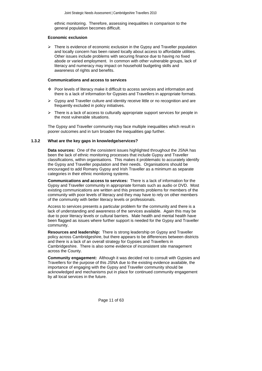ethnic monitoring. Therefore, assessing inequalities in comparison to the general population becomes difficult.

## **Economic exclusion**

 $\triangleright$  There is evidence of economic exclusion in the Gypsy and Traveller population and locally concern has been raised locally about access to affordable utilities. Other issues include problems with securing finance due to having no fixed abode or varied employment. In common with other vulnerable groups, lack of literacy and numeracy may impact on household budgeting skills and awareness of rights and benefits.

#### **Communications and access to services**

- Poor levels of literacy make it difficult to access services and information and there is a lack of information for Gypsies and Travellers in appropriate formats.
- ¾ Gypsy and Traveller culture and identity receive little or no recognition and are frequently excluded in policy initiatives.
- There is a lack of access to culturally appropriate support services for people in the most vulnerable situations.

The Gypsy and Traveller community may face multiple inequalities which result in poorer outcomes and in turn broaden the inequalities gap further.

#### **1.3.2 What are the key gaps in knowledge/services?**

**Data sources:** One of the consistent issues highlighted throughout the JSNA has been the lack of ethnic monitoring processes that include Gypsy and Traveller classifications, within organisations. This makes it problematic to accurately identify the Gypsy and Traveller population and their needs. Organisations should be encouraged to add Romany Gypsy and Irish Traveller as a minimum as separate categories in their ethnic monitoring systems.

**Communications and access to services:** There is a lack of information for the Gypsy and Traveller community in appropriate formats such as audio or DVD. Most existing communications are written and this presents problems for members of the community with poor levels of literacy and they may have to rely on other members of the community with better literacy levels or professionals.

Access to services presents a particular problem for the community and there is a lack of understanding and awareness of the services available. Again this may be due to poor literacy levels or cultural barriers. Male health and mental health have been flagged as issues where further support is needed for the Gypsy and Traveller community.

**Resources and leadership:** There is strong leadership on Gypsy and Traveller policy across Cambridgeshire, but there appears to be differences between districts and there is a lack of an overall strategy for Gypsies and Travellers in Cambridgeshire. There is also some evidence of inconsistent site management across the County.

**Community engagement:** Although it was decided not to consult with Gypsies and Travellers for the purpose of this JSNA due to the existing evidence available, the importance of engaging with the Gypsy and Traveller community should be acknowledged and mechanisms put in place for continued community engagement by all local services in the future.

Page 11 of 63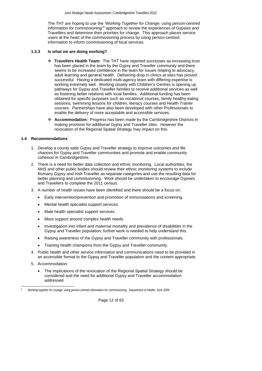The THT are hoping to use the *'Working Together for Change: using person-centred information for commissioning'[5](#page-11-0)* approach to review the experiences of Gypsies and Travellers and determine their priorities for change. This approach places service users at the heart of the commissioning process by using person-centred information to inform commissioning of local services.

#### **1.3.3 Is what we are doing working?**

- **Travellers Health Team:** The THT have reported successes as increasing trust has been placed in the team by the Gypsy and Traveller community and there seems to be increased confidence in the team for issues relating to advocacy, adult learning and general health. Delivering drop in clinics at sites has proved successful. Having a dedicated multi-agency team with differing expertise is working extremely well. Working closely with Children's Centres is opening up pathways for Gypsy and Traveller families to receive additional services as well as fostering better relations with local families. Additional funding has been obtained for specific purposes such as vocational courses, family healthy eating sessions, swimming lessons for children, literacy courses and Health Trainer courses. Partnerships have also been developed with other Professionals to enable the delivery of more acceptable and accessible services.
- **Accommodation:** Progress has been made by the Cambridgeshire Districts in making provision for additional Gypsy and Traveller sites. However the revocation of the Regional Spatial Strategy may impact on this.

# **1.4 Recommendations**

- 1. Develop a county wide Gypsy and Traveller strategy to improve outcomes and life chances for Gypsy and Traveller communities and promote and enable community cohesion in Cambridgeshire.
- 2. There is a need for better data collection and ethnic monitoring. Local authorities, the NHS and other public bodies should review their ethnic monitoring systems to include Romany Gypsy and Irish Traveller as separate categories and use the resulting data for better planning and commissioning. Work should be undertaken to encourage Gypsies and Travellers to complete the 2011 census.
- 3. A number of health issues have been identified and there should be a focus on:
	- Early intervention/prevention and promotion of immunisations and screening.
	- Mental health specialist support services.
	- Male health specialist support services.
	- More support around complex health needs.
	- Investigation into infant and maternal mortality and prevalence of disabilities in the Gypsy and Traveller population; further work is needed to help understand this.
	- Raising awareness of the Gypsy and Traveller community with professionals.
	- Training health champions from the Gypsy and Traveller community.
- 4. Public health and other service information and communications need to be provided in an accessible format to the Gypsy and Traveller population and the content appropriate.
- 5. Accommodation:

 $\overline{a}$ 

The implications of the revocation of the Regional Spatial Strategy should be considered and the need for additional Gypsy and Traveller accommodation addressed.

<span id="page-11-0"></span><sup>5</sup> Working together for change: using person-centred information for commissioning. Department of Health, June 2009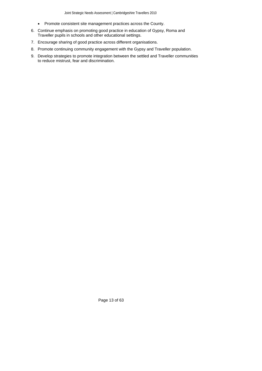- Promote consistent site management practices across the County.
- 6. Continue emphasis on promoting good practice in education of Gypsy, Roma and Traveller pupils in schools and other educational settings.
- 7. Encourage sharing of good practice across different organisations.
- 8. Promote continuing community engagement with the Gypsy and Traveller population.
- 9. Develop strategies to promote integration between the settled and Traveller communities to reduce mistrust, fear and discrimination.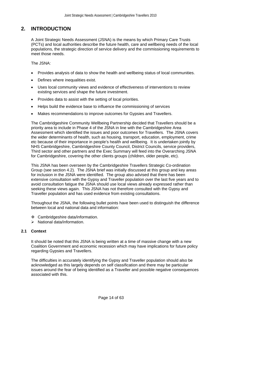# <span id="page-13-0"></span>**2. INTRODUCTION**

A Joint Strategic Needs Assessment (JSNA) is the means by which Primary Care Trusts (PCTs) and local authorities describe the future health, care and wellbeing needs of the local populations, the strategic direction of service delivery and the commissioning requirements to meet those needs.

The JSNA:

- Provides analysis of data to show the health and wellbeing status of local communities.
- Defines where inequalities exist.
- Uses local community views and evidence of effectiveness of interventions to review existing services and shape the future investment.
- Provides data to assist with the setting of local priorities.
- Helps build the evidence base to influence the commissioning of services
- Makes recommendations to improve outcomes for Gypsies and Travellers.

The Cambridgeshire Community Wellbeing Partnership decided that Travellers should be a priority area to include in Phase 4 of the JSNA in line with the Cambridgeshire Area Assessment which identified the issues and poor outcomes for Travellers. The JSNA covers the wider determinants of health, such as housing, transport, education, employment, crime etc because of their importance in people's health and wellbeing. It is undertaken jointly by NHS Cambridgeshire, Cambridgeshire County Council, District Councils, service providers, Third sector and other partners and the Exec Summary will feed into the Overarching JSNA for Cambridgeshire, covering the other clients groups (children, older people, etc).

This JSNA has been overseen by the Cambridgeshire Travellers Strategic Co-ordination Group (see section 4.2). The JSNA brief was initially discussed at this group and key areas for inclusion in the JSNA were identified. The group also advised that there has been extensive consultation with the Gypsy and Traveller population over the last five years and to avoid consultation fatigue the JSNA should use local views already expressed rather than seeking these views again. This JSNA has not therefore consulted with the Gypsy and Traveller population and has used evidence from existing consultations.

Throughout the JSNA, the following bullet points have been used to distinguish the difference between local and national data and information:

- Cambridgeshire data/information.
- $\triangleright$  National data/information.

# **2.1 Context**

It should be noted that this JSNA is being written at a time of massive change with a new Coalition Government and economic recession which may have implications for future policy regarding Gypsies and Travellers.

The difficulties in accurately identifying the Gypsy and Traveller population should also be acknowledged as this largely depends on self classification and there may be particular issues around the fear of being identified as a Traveller and possible negative consequences associated with this.

Page 14 of 63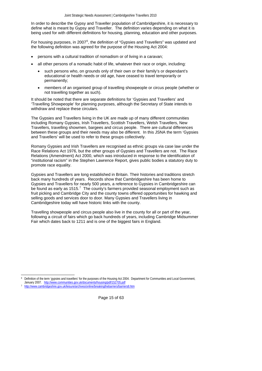In order to describe the Gypsy and Traveller population of Cambridgeshire, it is necessary to define what is meant by Gypsy and Traveller. The definition varies depending on what it is being used for with different definitions for housing, planning, education and other purposes.

For housing purposes, in 2007<sup>[6](#page-14-0)</sup>, the definition of "Gypsies and Travellers" was updated and the following definition was agreed for the purpose of the Housing Act 2004:

- persons with a cultural tradition of nomadism or of living in a caravan;
- all other persons of a nomadic habit of life, whatever their race or origin, including:
	- such persons who, on grounds only of their own or their family's or dependant's educational or health needs or old age, have ceased to travel temporarily or permanently;
	- members of an organised group of travelling showpeople or circus people (whether or not travelling together as such).

It should be noted that there are separate definitions for 'Gypsies and Travellers' and 'Travelling Showpeople' for planning purposes, although the Secretary of State intends to withdraw and replace these circulars.

The Gypsies and Travellers living in the UK are made up of many different communities including Romany Gypsies, Irish Travellers, Scottish Travellers, Welsh Travellers, New Travellers, travelling showmen, bargees and circus people. There are cultural differences between these groups and their needs may also be different. In this JSNA the term 'Gypsies and Travellers' will be used to refer to these groups collectively.

Romany Gypsies and Irish Travellers are recognised as ethnic groups via case law under the Race Relations Act 1976, but the other groups of Gypsies and Travellers are not. The Race Relations (Amendment) Act 2000, which was introduced in response to the identification of "institutional racism" in the Stephen Lawrence Report, gives public bodies a statutory duty to promote race equality.

Gypsies and Travellers are long established in Britain. Their histories and traditions stretch back many hundreds of years. Records show that Cambridgeshire has been home to Gypsies and Travellers for nearly 500 years, a reference to Gypsies in Cambridgeshire can be found as early as 1515. $^7$  $^7$  The county's farmers provided seasonal employment such as fruit picking and Cambridge City and the county towns offered opportunities for hawking and selling goods and services door to door. Many Gypsies and Travellers living in Cambridgeshire today will have historic links with the county.

Travelling showpeople and circus people also live in the county for all or part of the year, following a circuit of fairs which go back hundreds of years, including Cambridge Midsummer Fair which dates back to 1211 and is one of the biggest fairs in England.

Page 15 of 63

l 6 Definition of the term 'gypsies and travellers' for the purposes of the Housing Act 2004. Department for Communities and Local Government,

January 2007. <http://www.communities.gov.uk/documents/housing/pdf/152705.pdf><br><http://www.cambridgeshire.gov.uk/leisure/archives/online/breakingthebarriers/barriers8.htm>

<span id="page-14-1"></span><span id="page-14-0"></span>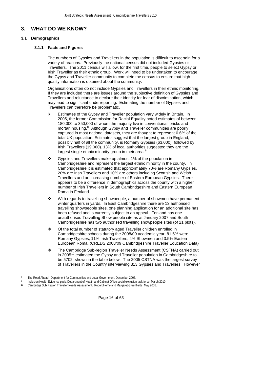# <span id="page-15-0"></span>**3. WHAT DO WE KNOW?**

### **3.1 Demographics**

### **3.1.1 Facts and Figures**

The numbers of Gypsies and Travellers in the population is difficult to ascertain for a variety of reasons. Previously the national census did not included Gypsies or Travellers. The 2011 census will allow, for the first time, people to select Gypsy or Irish Traveller as their ethnic group. Work will need to be undertaken to encourage the Gypsy and Traveller community to complete the census to ensure that high quality information is obtained about the community.

Organisations often do not include Gypsies and Travellers in their ethnic monitoring. If they are included there are issues around the subjective definition of Gypsies and Travellers and reluctance to declare their identity for fear of discrimination, which may lead to significant underreporting. Estimating the number of Gypsies and Travellers can therefore be problematic.

- Estimates of the Gypsy and Traveller population vary widely in Britain. In 2005, the former Commission for Racial Equality noted estimates of between 180,000 to 350,000 of whom the majority live in conventional 'bricks and mortar' housing.<sup>[8](#page-15-1)</sup> Although Gypsy and Traveller communities are poorly captured in most national datasets, they are thought to represent 0.6% of the total UK population. Estimates suggest that the largest group in England, possibly half of all the community, is Romany Gypsies (63,000), followed by Irish Travellers (19,000). 13% of local authorities suggested they are the largest single ethnic minority group in their area.<sup>[9](#page-15-2)</sup>
- <span id="page-15-5"></span> Gypsies and Travellers make up almost 1% of the population in Cambridgeshire and represent the largest ethnic minority in the county. In Cambridgeshire it is estimated that approximately 70% are Romany Gypsies, 20% are Irish Travellers and 10% are others including Scottish and Welsh Travellers and an increasing number of Eastern European Gypsies. There appears to be a difference in demographics across the county with a higher number of Irish Travellers in South Cambridgeshire and Eastern European Roma in Fenland.
- <span id="page-15-6"></span> With regards to travelling showpeople, a number of showmen have permanent winter quarters in yards. In East Cambridgeshire there are 13 authorised travelling showpeople sites, one planning application for an additional site has been refused and is currently subject to an appeal. Fenland has one unauthorised Travelling Show people site as at January 2007 and South Cambridgeshire has two authorised travelling showpeople sites (of 21 plots).
- Of the total number of statutory aged Traveller children enrolled in Cambridgeshire schools during the 2008/09 academic year, 81.5% were Romany Gypsies, 11% Irish Travellers, 4% Showmen and 3.5% Eastern European Roma. (CREDS 2008/09 Cambridgeshire Traveller Education Data)
- The Cambridge Sub-region Traveller Needs Assessment (CSTNA) carried out in 2005 $^{10}$  $^{10}$  $^{10}$  estimated the Gypsy and Traveller population in Cambridgeshire to be 5702, shown in the table below. The 2005 CSTNA was the largest survey of Travellers in the Country interviewing 313 Gypsies and Travellers. However

Page 16 of 63

 $\overline{a}$ 8 The Road Ahead. Department for Communities and Local Government, December 2007.

<sup>9</sup> Inclusion Health Evidence pack. Department of Health and Cabinet Office social exclusion task force, March 2010.

<span id="page-15-4"></span><span id="page-15-3"></span><span id="page-15-2"></span><span id="page-15-1"></span><sup>10</sup> Cambridge Sub Region Traveller Needs Assessment. Robert Home and Margaret Greenfields, May 2006.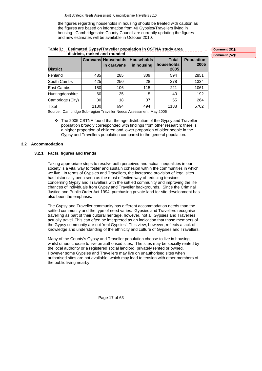<span id="page-16-0"></span>the figures regarding households in housing should be treated with caution as the figures are based on information from 40 Gypsies/Travellers living in housing. Cambridgeshire County Council are currently updating the figures and new estimates will be available in October 2010.

| Table 1: Estimated Gypsy/Traveller population in CSTNA study area |
|-------------------------------------------------------------------|
| districts, ranked and rounded                                     |

**Total Population 2005 Comment [S2]:** 

**Comment [S1]:** 

| <b>District</b>  |      | <b>Caravans Households</b><br>in caravans | <b>Households</b><br>in housing | <b>Total</b><br>households<br>2005 | <b>Population</b><br>2005 |
|------------------|------|-------------------------------------------|---------------------------------|------------------------------------|---------------------------|
| Fenland          | 485  | 285                                       | 309                             | 594                                | 2851                      |
| South Cambs      | 425  | 250                                       | 28                              | 278                                | 1334                      |
| East Cambs       | 180  | 106                                       | 115                             | 221                                | 1061                      |
| Huntingdonshire  | 60   | 35                                        | 5                               | 40                                 | 192                       |
| Cambridge (City) | 30   | 18                                        | 37                              | 55                                 | 264                       |
| Total            | 1180 | 694                                       | 494                             | 1188                               | 5702                      |

Source: Cambridge Sub-region Traveller Needs Assessment, May 2006

 $\div$  The 2005 CSTNA found that the age distribution of the Gypsy and Traveller population broadly corresponded with findings from other research: there is a higher proportion of children and lower proportion of older people in the Gypsy and Travellers population compared to the general population.

# **3.2 Accommodation**

#### **3.2.1 Facts, figures and trends**

Taking appropriate steps to resolve both perceived and actual inequalities in our society is a vital way to foster and sustain cohesion within the communities in which we live. In terms of Gypsies and Travellers, the increased provision of legal sites has historically been seen as the most effective way of reducing tensions concerning Gypsy and Travellers with the settled community and improving the life chances of individuals from Gypsy and Traveller backgrounds. Since the Criminal Justice and Public Order Act 1994, purchasing private land for site development has also been the emphasis.

The Gypsy and Traveller community has different accommodation needs than the settled community and the type of need varies. Gypsies and Travellers recognise travelling as part of their cultural heritage, however, not all Gypsies and Travellers actually travel. This can often be interpreted as an indication that those members of the Gypsy community are not 'real Gypsies'. This view, however, reflects a lack of knowledge and understanding of the ethnicity and culture of Gypsies and Travellers.

Many of the County's Gypsy and Traveller population choose to live in housing, whilst others choose to live on authorised sites, The sites may be socially rented by the local authority or a registered social landlord, privately rented or owned. However some Gypsies and Travellers may live on unauthorised sites when authorised sites are not available, which may lead to tension with other members of the public living nearby.

Page 17 of 63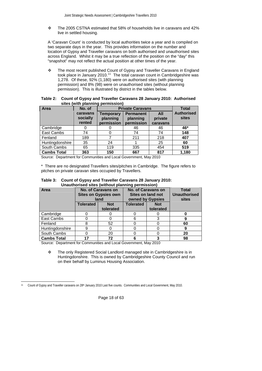$\div$  The 2005 CSTNA estimated that 58% of households live in caravans and 42% live in settled housing.

A 'Caravan Count' is conducted by local authorities twice a year and is compiled on two separate days in the year. This provides information on the number and location of Gypsy and Traveller caravans on both authorised and unauthorised sites across England. Whilst it may be a true reflection of the position on the "day" this "snapshot" may not reflect the actual position at other times of the year.

\* The most recent published Count of Gypsy and Traveller Caravans in England took place in January 2010.<sup>[11](#page-17-0)</sup> The total caravan count in Cambridgeshire was 1,278. Of these, 92% (1,180) were on authorised sites (with planning permission) and 8% (98) were on unauthorised sites (without planning permission). This is illustrated by district in the tables below.

| Table 2: Count of Gypsy and Traveller Caravans 28 January 2010: Authorised |  |
|----------------------------------------------------------------------------|--|
| sites (with planning permission)                                           |  |

| Area               | No. of                         |                                                                                                                        | <b>Private Caravans</b> |                            |       |  |  |  |
|--------------------|--------------------------------|------------------------------------------------------------------------------------------------------------------------|-------------------------|----------------------------|-------|--|--|--|
|                    | caravans<br>socially<br>rented | All<br><b>Permanent</b><br><b>Temporary</b><br>planning<br>planning<br>private<br>permission<br>permission<br>caravans |                         | <b>Authorised</b><br>sites |       |  |  |  |
| Cambridge          |                                |                                                                                                                        | 46                      | 46                         | 46*   |  |  |  |
| East Cambs         | 74                             |                                                                                                                        | 74                      | 74                         | 148   |  |  |  |
| Fenland            | 189                            |                                                                                                                        | 211                     | 218                        | 407   |  |  |  |
| Huntingdonshire    | 35                             | 24                                                                                                                     |                         | 25                         | 60    |  |  |  |
| South Cambs        | 65                             | 119                                                                                                                    | 335                     | 454                        | 519   |  |  |  |
| <b>Cambs Total</b> | 363                            | 150                                                                                                                    | 667                     | 817                        | 1,180 |  |  |  |

Source: Department for Communities and Local Government, May 2010

\* There are no designated Travellers sites/pitches in Cambridge. The figure refers to pitches on private caravan sites occupied by Travellers.

| Table 3: Count of Gypsy and Traveller Caravans 28 January 2010: |
|-----------------------------------------------------------------|
| Unauthorised sites (without planning permission)                |

| Area               | <b>No. of Caravans on</b><br><b>Sites on Gypsies own</b><br>land |           |   | No. of Caravans on<br>Sites on land not<br>owned by Gypsies | <b>Total</b><br><b>Unauthorised</b><br>sites |
|--------------------|------------------------------------------------------------------|-----------|---|-------------------------------------------------------------|----------------------------------------------|
|                    | <b>Tolerated</b><br><b>Not</b>                                   |           |   | <b>Not</b>                                                  |                                              |
|                    |                                                                  | tolerated |   | tolerated                                                   |                                              |
| Cambridge          |                                                                  |           |   |                                                             |                                              |
| East Cambs         |                                                                  |           | 6 |                                                             |                                              |
| Fenland            |                                                                  | 52        |   |                                                             | 60                                           |
| Huntingdonshire    |                                                                  |           |   |                                                             |                                              |
| South Cambs        | 20                                                               |           |   |                                                             | 20                                           |
| <b>Cambs Total</b> | 17                                                               | 72        |   |                                                             | 98                                           |

Source: Department for Communities and Local Government, May 2010

 $\cdot \cdot$  The only Registered Social Landlord managed site in Cambridgeshire is in Huntingdonshire. This is owned by Cambridgeshire County Council and run on their behalf by Luminus Housing Association.

Page 18 of 63

<span id="page-17-0"></span>l <sup>11</sup> Count of Gypsy and Traveller caravans on 28<sup>th</sup> January 2010 Last five counts. Communities and Local Government, May 2010.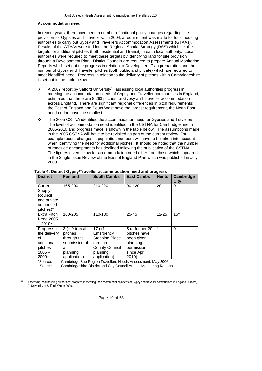#### **Accommodation need**

In recent years, there have been a number of national policy changes regarding site provision for Gypsies and Travellers. In 2004, a requirement was made for local housing authorities to carry out Gypsy and Travellers Accommodation Assessments (GTAAs). Results of the GTAAs were fed into the Regional Spatial Strategy (RSS) which set the targets for additional pitches (both residential and transit) in each local authority. Local authorities were required to meet these targets by identifying land for site provision through a Development Plan. District Councils are required to prepare Annual Monitoring Reports which set out the progress in relation to Development Plan preparation and the number of Gypsy and Traveller pitches (both public and private) which are required to meet identified need. Progress in relation to the delivery of pitches within Cambridgeshire is set out in the table below.

- $\triangleright$  A 2009 report by Salford University<sup>[12](#page-18-0)</sup> assessing local authorities progress in meeting the accommodation needs of Gypsy and Traveller communities in England, estimated that there are 8,263 pitches for Gypsy and Traveller accommodation across England. There are significant regional differences in pitch requirements: the East of England and South West have the largest requirement, the North East and London have the smallest.
- <span id="page-18-1"></span> The 2005 CSTNA identified the accommodation need for Gypsies and Travellers. The level of accommodation need identified in the CSTNA for Cambridgeshire in 2005-2010 and progress made is shown in the table below. The assumptions made in the 2005 CSTNA will have to be revisited as part of the current review. For example recent changes in population numbers will have to be taken into account when identifying the need for additional pitches. It should be noted that the number of roadside encampments has declined following the publication of the CSTNA. The figures given below for accommodation need differ from those which appeared in the Single Issue Review of the East of England Plan which was published in July 2009.

| <b>District</b>                                                                   | <b>Fenland</b>                                                                               | <b>South Cambs</b>                                                                                                                                                           | <b>East Cambs</b>                                                                               | <b>Hunts</b> | <b>Cambridge</b><br>City |
|-----------------------------------------------------------------------------------|----------------------------------------------------------------------------------------------|------------------------------------------------------------------------------------------------------------------------------------------------------------------------------|-------------------------------------------------------------------------------------------------|--------------|--------------------------|
| Current<br>Supply<br>(council<br>and private<br>authorised<br>pitches)*           | 165-200                                                                                      | 210-220                                                                                                                                                                      | 90-120                                                                                          | 20           | 0                        |
| <b>Extra Pitch</b><br>Need 2005<br>$-2010*$                                       | 160-205                                                                                      | 110-130                                                                                                                                                                      | $25 - 45$                                                                                       | $12 - 25$    | $15^{\circ}$             |
| Progress in<br>the delivery<br>οf<br>additional<br>pitches<br>$2005 -$<br>$2009+$ | $3 (+ 9$ transit<br>pitches<br>through the<br>submission of<br>а<br>planning<br>application) | $17(+1)$<br>Emergency<br><b>Stopping Place</b><br>through<br><b>County Council</b><br>planning<br>application)<br>Cambridge Pub Begian Travellers Needs Assessment, May 2006 | 5 (a further 20<br>pitches have<br>been given<br>planning<br>permission<br>since April<br>2010) | 1            | $\Omega$                 |

# **Table 4: District Gypsy/Traveller accommodation need and progress**

Source: Cambridge Sub Region Travellers Needs Assessment, May 2006

+Source: Cambridgeshire District and City Council Annual Monitoring Reports

Page 19 of 63

<span id="page-18-0"></span> $12$ Assessing local housing authorities' progress in meeting the accommodation needs of Gypsy and traveller communities in England. Brown, P, University of Salford, Winter 2009.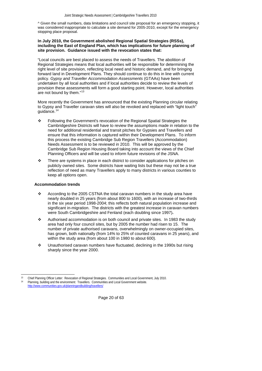^ Given the small numbers, data limitations and council site proposal for an emergency stopping, it was considered inappropriate to calculate a site demand for 2005-2010, except for the emergency stopping place proposal.

#### **In July 2010, the Government abolished Regional Spatial Strategies (RSSs), including the East of England Plan, which has implications for future planning of site provision. Guidance issued with the revocation states that:**

"Local councils are best placed to assess the needs of Travellers. The abolition of Regional Strategies means that local authorities will be responsible for determining the right level of site provision, reflecting local need and historic demand, and for bringing forward land in Development Plans. They should continue to do this in line with current policy. *Gypsy and Traveller Accommodation Assessments* (GTAAs) have been undertaken by all local authorities and if local authorities decide to review the levels of provision these assessments will form a good starting point. However, local authorities are not bound by them."<sup>[13](#page-19-0)</sup>

More recently the Government has announced that the existing Planning circular relating to Gypsy and Traveller caravan sites will also be revoked and replaced with "light touch" quidance.

- \* Following the Government's revocation of the Regional Spatial Strategies the Cambridgeshire Districts will have to review the assumptions made in relation to the need for additional residential and transit pitches for Gypsies and Travellers and ensure that this information is captured within their Development Plans. To inform this process the existing Cambridge Sub Region Travellers (Accommodation) Needs Assessment is to be reviewed in 2010. This will be approved by the Cambridge Sub Region Housing Board taking into account the views of the Chief Planning Officers and will be used to inform future revisions of the JSNA.
- $\div$  There are systems in place in each district to consider applications for pitches on publicly owned sites. Some districts have waiting lists but these may not be a true reflection of need as many Travellers apply to many districts in various counties to keep all options open.

#### **Accommodation trends**

l

- \* According to the 2005 CSTNA the total caravan numbers in the study area have nearly doubled in 25 years (from about 800 to 1600), with an increase of two-thirds in the six year period 1998-2004; this reflects both natural population increase and significant in-migration. The districts with the greatest increase in caravan numbers were South Cambridgeshire and Fenland (each doubling since 1997)**.**
- Authorised accommodation is on both council and private sites. In 1983 the study area had only four council sites, but by 2005 the number had risen to 15. The number of private authorised caravans, overwhelmingly on owner-occupied sites, has grown, both nationally (from 14% to 25% of counted caravans in 25 years), and within the study area (from about 100 in 1980 to about 600).
- Unauthorised caravan numbers have fluctuated, declining in the 1990s but rising sharply since the year 2000.

Page 20 of 63

<span id="page-19-1"></span><span id="page-19-0"></span><sup>13</sup> Chief Planning Officer Letter: Revocation of Regional Strategies. Communities and Local Government, July 2010. Planning, building and the environment: Travellers. Communities and Local Government website. <http://www.communities.gov.uk/planningandbuilding/travellers/>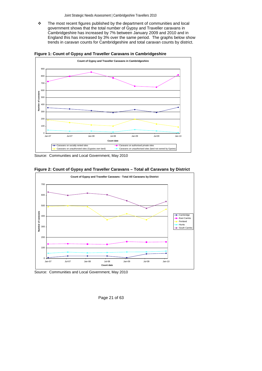\* The most recent figures published by the department of communities and local government shows that the total number of Gypsy and Traveller caravans in Cambridgeshire has increased by 7% between January 2009 and 2010 and in England this has increased by 3% over the same period. The graphs below show trends in caravan counts for Cambridgeshire and total caravan counts by district.





Source: Communities and Local Government, May 2010



**Figure 2: Count of Gypsy and Traveller Caravans – Total all Caravans by District** 

Source: Communities and Local Government, May 2010

Page 21 of 63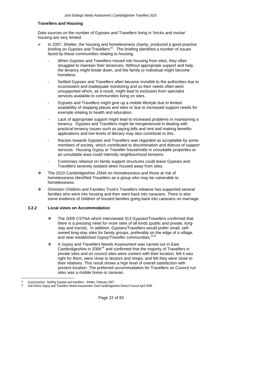#### <span id="page-21-0"></span> **Travellers and Housing**

Data sources on the number of Gypsies and Travellers living in 'bricks and mortar' housing are very limited.

- In 2007, Shelter, the housing and homelessness charity, produced a good practice briefing on Gypsies and Travellers<sup>15</sup>. The briefing identified a number of issues faced by these communities relating to housing
	- When Gypsies and Travellers moved into housing from sites, they often struggled to maintain their tenancies. Without appropriate support and help, the tenancy might break down, and the family or individual might become homeless.
	- Settled Gypsies and Travellers often became invisible to the authorities due to inconsistent and inadequate monitoring and so their needs often went unsupported which, as a result, might lead to exclusion from specialist services available to communities living on sites.
	- Gypsies and Travellers might give up a mobile lifestyle due to limited availability of stopping places and sites or due to increased support needs for example relating to health and education.
	- Lack of appropriate support might lead to increased problems in maintaining a tenancy. Gypsies and Travellers might be inexperienced in dealing with practical tenancy issues such as paying bills and rent and making benefits applications and low levels of literacy may also contribute to this.
	- Racism towards Gypsies and Travellers was regarded as acceptable by some members of society, which contributed to discrimination and distrust of support services. Housing Gypsy or Traveller households in unsuitable properties or an unsuitable area could intensify neighbourhood tensions.
	- Customary reliance on family support structures could leave Gypsies and Travellers severely isolated when housed away from sites.
- The 2010 Cambridgeshire JSNA on Homelessness and those at risk of homelessness identified Travellers as a group who may be vulnerable to homelessness.
- Ormiston Children and Families Trust's Travellers Initiative has supported several families who went into housing and then went back into caravans. There is also some evidence of children of housed families going back into caravans on marriage.

#### **3.2.2 Local views on Accommodation**

- \* The 2005 CSTNA which interviewed 313 Gypsies/Travellers confirmed that there is a pressing need for more sites of all kinds (public and private, longstay and transit). In addition, Gypsies/Travellers would prefer small, selfowned long-stay sites for family groups, preferably on the edge of a village, and near established Gypsy/Traveller communities.<sup>[10](#page-15-4),[8](#page-15-5)</sup>
- \* A Gypsy and Travellers Needs Assessment was carried out in East Cambridgeshire in 2006<sup>[16](#page-21-2)</sup> and confirmed that the majority of Travellers in private sites and on council sites were content with their location, felt it was right for them, were close to doctors and shops, and felt they were close to their relatives. This result shows a high level of overall satisfaction with present location. The preferred accommodation for Travellers on Council run sites was a mobile home or caravan.

Page 22 of 63

 $\overline{a}$ 15 Good practice: briefing Gypsies and travellers. Shelter, February 2007.

<span id="page-21-3"></span><span id="page-21-2"></span><span id="page-21-1"></span><sup>16</sup> Sub District Gypsy and Travellers Needs Assessment: East Cambridgeshire District Council April 2006.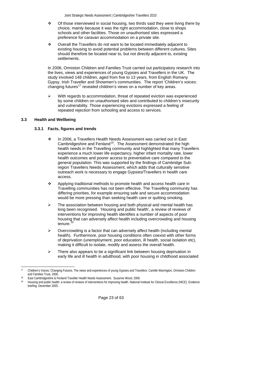- <span id="page-22-0"></span> $\div$  Of those interviewed in social housing, two thirds said they were living there by choice, mainly because it was the right accommodation, close to shops schools and other facilities. Those on unauthorised sites expressed a preference for caravan accommodation on a private site.
- Overall the Travellers do not want to be located immediately adjacent to existing housing to avoid potential problems between different cultures. Sites should therefore be located near to, but not directly adjacent to, existing settlements.

In 2006, Ormiston Children and Families Trust carried out participatory research into the lives, views and experiences of young Gypsies and Travellers in the UK. The study involved 148 children, aged from five to 13 years, from English Romany Gypsy, Irish Traveller and Showmen's communities. The report 'Children's voices: changing futures<sup>[17](#page-22-1)</sup> revealed children's views on a number of key areas.

With regards to accommodation, threat of repeated eviction was experienced by some children on unauthorised sites and contributed to children's insecurity and vulnerability. Those experiencing evictions expressed a feeling of repeated rejection from schooling and access to services.

# **3.3 Health and Wellbeing**

#### **3.3.1 Facts, figures and trends**

- In 2006, a Travellers Health Needs Assessment was carried out in East Cambridgeshire and Fenland<sup>[18](#page-22-2)</sup>. The Assessment demonstrated the high health needs in the Travelling community and highlighted that many Travellers experience a much lower life expectancy, higher infant mortality rate, lower health outcomes and poorer access to preventative care compared to the general population. This was supported by the findings of Cambridge Subregion Travellers Needs Assessment, which adds that culturally sensitive outreach work is necessary to engage Gypsies/Travellers in health care access.
- <span id="page-22-4"></span> $\cdot \cdot$  Applying traditional methods to promote health and access health care in Travelling communities has not been effective. The Travelling community has differing priorities, for example ensuring safe and secure accommodation would be more pressing than seeking health care or quitting smoking.
- $\triangleright$  The association between housing and both physical and mental health has long been recognised. 'Housing and public health', a review of reviews of interventions for improving health identifies a number of aspects of poor housing that can adversely affect health including overcrowding and housing tenure. $1$
- ¾ Overcrowding is a factor that can adversely affect health (including mental health). Furthermore, poor housing conditions often coexist with other forms of deprivation (unemployment, poor education, ill health, social isolation etc), making it difficult to isolate, modify and assess the overall health.
- $\triangleright$  There also appears to be a significant link between housing deprivation in early life and ill health in adulthood, with poor housing in childhood associated

Page 23 of 63

 $\overline{a}$ <sup>17</sup> Children's Voices: Changing Futures. The views and experiences of young Gypsies and Travellers. Camille Warrington, Ormiston Children<br>and Families Trust, 2006.

<sup>&</sup>lt;sup>18</sup> East Cambridgeshire & Fenland Traveller Health Needs Assessment. Suzanne Wood, 2006.

<span id="page-22-3"></span><span id="page-22-2"></span><span id="page-22-1"></span><sup>19</sup> Housing and public health: a review of reviews of interventions for improving health. National Institute for Clinical Excellence (NICE). Evidence briefing. December 2005.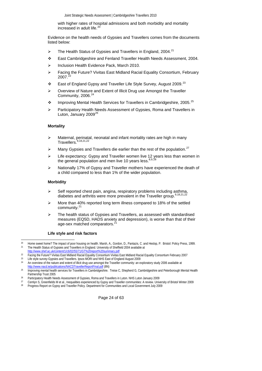with higher rates of hospital admissions and both morbidity and mortality increased in adult life.<sup>[20](#page-23-0)</sup>

Evidence on the health needs of Gypsies and Travellers comes from the documents listed below:

- $\triangleright$  The Health Status of Gypsies and Travellers in England, 2004.<sup>[21](#page-23-1)</sup>
- <span id="page-23-7"></span>East Cambridgeshire and Fenland Traveller Health Needs Assessment, 2004.
- ¾ Inclusion Health Evidence Pack, March 2010.
- ¾ Facing the Future? Vivitas East Midland Racial Equality Consortium, February 2007.
- ❖ East of England Gypsy and Traveller Life Style Survey, August 2009.<sup>[23](#page-23-3)</sup>
- <span id="page-23-8"></span>¾ Overview of Nature and Extent of Illicit Drug use Amongst the Traveller Community, 2006.<sup>[24](#page-23-4)</sup>
- <span id="page-23-13"></span>**Improving Mental Health Services for Travellers in Cambridgeshire, 2005.**<sup>[25](#page-23-5)</sup>
- ¾ Participatory Health Needs Assessment of Gypsies, Roma and Travellers in Luton, January 2009<sup>[26](#page-23-6)</sup>

#### <span id="page-23-15"></span><span id="page-23-11"></span> **Mortality**

- <span id="page-23-12"></span>Maternal, perinatal, neonatal and infant mortality rates are high in many  $Travellers.<sup>9,18,21,22</sup>$  $Travellers.<sup>9,18,21,22</sup>$  $Travellers.<sup>9,18,21,22</sup>$  $Travellers.<sup>9,18,21,22</sup>$  $Travellers.<sup>9,18,21,22</sup>$
- Many Gypsies and Travellers die earlier than the rest of the population.<sup>[27](#page-23-9)</sup>
- $\triangleright$  Life expectancy: Gypsy and Traveller women live 12 years less than women in the general population and men live 10 years less.  $8,9,28$  $8,9,28$  $8,9,28$
- ¾ Nationally 17% of Gypsy and Traveller mothers have experienced the death of a child compared to less than 1% of the wider population.

#### <span id="page-23-14"></span> **Morbidity**

- $\triangleright$  Self reported chest pain, angina, respiratory problems including asthma, diabetes and arthritis were more prevalent in the Traveller group.  $9,18,21,22$  $9,18,21,22$
- ¾ More than 40% reported long term illness compared to 18% of the settled community.[21](#page-23-7)
- ¾ The health status of Gypsies and Travellers, as assessed with standardised measures (EQ5D, HADS anxiety and depression), is worse than that of their age-sex matched comparators.<sup>[21](#page-23-7)</sup>

#### **Life style and risk factors**

Page 24 of 63

 $20$ <sup>20</sup> Home sweet home? The impact of poor housing on health. Marsh, A., Gordon, D., Pantazis, C. and Heslop, P. Bristol: Policy Press, 1999.<br><sup>21</sup> The Health Status of Gypsies and Travellers in England. University of Sheffie

 $\frac{22}{100}$  Facing the Future? Vivitas East Midland Racial Equality Consortium Vivitas East Midland Racial Equality Consortium February 2007<br><sup>23</sup> Life style survey-Gypsies and Travellers. Ipsos MORI and NHS East of Engla 24 An overview of the nature and extent of illicit drug use amongst the Traveller community: an exploratory study 2006 available at

<http://www.nacd.ie/publications/NACDTravellerReportFinal.pdf>(8N)<br>
25 Improving mental health services for Travellers in Cambridgeshire. Treise C, Shepherd G, Cambridgeshire and Peterborough Mental Health<br>
25 Partnership T

<sup>26</sup> Participatory Health Needs Assessment of Gypsies, Roma and Travellers in Luton. NHS Luton January 2009

<sup>&</sup>lt;sup>27</sup> Cemlyn S, Greenfields M et al., Inequalities experienced by Gypsy and Traveller communities: A review. University of Bristol Winter 2009<br><sup>28</sup> Progress Report on Gypsy and Traveller Policy. Department for Communities a

<span id="page-23-10"></span><span id="page-23-9"></span><span id="page-23-6"></span><span id="page-23-5"></span><span id="page-23-4"></span><span id="page-23-3"></span><span id="page-23-2"></span><span id="page-23-1"></span><span id="page-23-0"></span>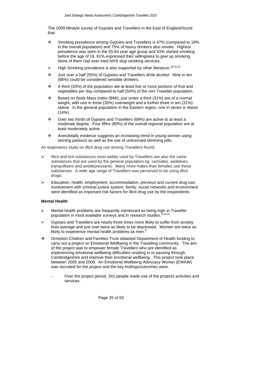The 2009 lifestyle survey of Gypsies and Travellers in the East of England found that:

- Smoking prevalence among Gypsies and Travellers is 47% (compared to 18% in the overall population) and 75% of heavy drinkers also smoke. Highest prevalence was seen in the 55-64 year age group and 53% started smoking before the age of 16. 61% expressed their willingness to give up smoking. None of them had ever tried NHS stop smoking services.
- High Smoking prevalence is also supported by other literature.<sup>[18](#page-22-4),21,[22](#page-23-8)</sup>
- Just over a half (55%) of Gypsies and Travellers drink alcohol. Nine in ten (88%) could be considered sensible drinkers.
- $\div$  A third (33%) of the population ate at least five or more portions of fruit and vegetables per day compared to half (50%) of the non Traveller population.
- Based on Body Mass Index (BMI), just under a third (31%) are of a normal weight, with one in three (35%) overweight and a further three in ten (31%) obese. In the general population in the Eastern region, one in seven is obese (14%).
- Over two thirds of Gypsies and Travellers (69%) are active to at least a moderate degree. Four fifths (80%) of the overall regional population are at least moderately active.
- \* Anecdotally evidence suggests an increasing trend in young women using tanning parlours as well as the use of unlicensed slimming pills.

An exploratory study on illicit drug use among Travellers found:

- Illicit and licit substances most widely used by Travellers are also the same substances that are used by the general population eg cannabis, sedatives, tranquillisers and antidepressants. Many more males than females use these substances. A wide age range of Travellers was perceived to be using illicit drugs.
- $\triangleright$  Education, health, employment, accommodation, previous and current drug use, involvement with criminal justice system, family, social networks and environment were identified as important risk factors for illicit drug use by the respondents

#### **Mental Health**

- Mental health problems are frequently mentioned as being high in Traveller population in most available surveys and in research studies.<sup>[9](#page-15-6)</sup>
- ¾ Gypsies and Travellers are nearly three times more likely to suffer from anxiety than average and just over twice as likely to be depressed. Women are twice as likely to experience mental health problems as men.<sup>[9](#page-15-6)</sup>
- Ormiston Children and Families Trust obtained Department of Health funding to carry out a project on Emotional Wellbeing in the Travelling community. The aim of the project was to empower female Travellers who are identified as experiencing emotional wellbeing difficulties residing in or passing through Cambridgeshire and improve their emotional wellbeing. This project took place between 2005 and 2008. An Emotional Wellbeing Advocacy Worker (EWAW) was recruited for the project and the key findings/outcomes were:
	- Over the project period, 341 people made use of the projects activities and services.

Page 25 of 63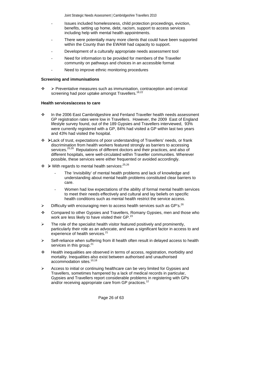- Issues included homelessness, child protection proceedings, eviction, benefits, setting up home, debt, racism, support to access services including help with mental health appointments.
- There were potentially many more clients that could have been supported within the County than the EWAW had capacity to support.
- Development of a culturally appropriate needs assessment tool
- Need for information to be provided for members of the Traveller community on pathways and choices in an accessible format
- Need to improve ethnic monitoring procedures

# **Screening and immunisations**

 ¾ Preventative measures such as immunisation, contraception and cervical screening had poor uptake amongst Travellers.<sup>[18,](#page-22-4)[22](#page-23-8)</sup>

#### **Health services/access to care**

- ❖ In the 2006 East Cambridgeshire and Fenland Traveller health needs assessment GP registration rates were low in Travellers. However, the 2009 East of England lifestyle survey found, out of the 189 Gypsies and Travellers interviewed, 93% were currently registered with a GP, 84% had visited a GP within last two years and 43% had visited the hospital.
- ¾Lack of trust, expectations of poor understanding of Travellers' needs, or frank discrimination from health workers featured strongly as barriers to accessing services.<sup>[25](#page-23-11),26</sup> Reputations of different doctors and their practices, and also of different hospitals, were well-circulated within Traveller communities. Wherever possible, these services were either frequented or avoided accordingly.
- $\leftrightarrow$   $\triangleright$  With regards to mental health services: <sup>[25](#page-23-11)[,26](#page-23-12)</sup>
	- The 'invisibility' of mental health problems and lack of knowledge and understanding about mental health problems constituted clear barriers to care.
	- Women had low expectations of the ability of formal mental health services to meet their needs effectively and cultural and lay beliefs on specific health conditions such as mental health restrict the service access.
- $\triangleright$  Difficulty with encouraging men to access health services such as GP's.<sup>[26](#page-23-12)</sup>
- Compared to other Gypsies and Travellers, Romany Gypsies, men and those who work are less likely to have visited their GP.<sup>[23](#page-23-13)</sup>
- The role of the specialist health visitor featured positively and prominently, particularly their role as an advocate, and was a significant factor in access to and experience of health services.<sup>[21](#page-23-7)</sup>
- Self-reliance when suffering from ill health often result in delayed access to health services in this group. $2<sup>2</sup>$
- $\div$  Health inequalities are observed in terms of access, registration, morbidity and mortality. Inequalities also exist between authorised and unauthorised accommodation sites.[10,](#page-15-4)[18](#page-22-4)
- Access to initial or continuing healthcare can be very limited for Gypsies and Travellers, sometimes hampered by a lack of medical records in particular, Gypsies and Travellers report considerable problems in registering with GPs and/or receiving appropriate care from GP practices.<sup>[12](#page-18-1)</sup>

Page 26 of 63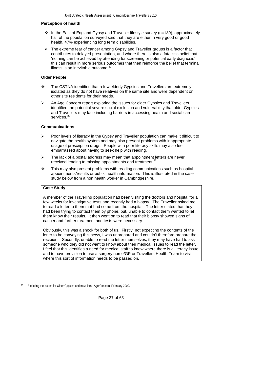#### **Perception of health**

- $\div$  In the East of England Gypsy and Traveller lifestyle survey (n=189), approximately half of the population surveyed said that they are either in very good or good health. 47% experiencing long term disabilities.
- $\triangleright$  The extreme fear of cancer among Gypsy and Traveller groups is a factor that contributes to delayed presentation, and where there is also a fatalistic belief that 'nothing can be achieved by attending for screening or potential early diagnosis' this can result in more serious outcomes that then reinforce the belief that terminal illness is an inevitable outcome. $21$

### **Older People**

- \* The CSTNA identified that a few elderly Gypsies and Travellers are extremely isolated as they do not have relatives on the same site and were dependent on other site residents for their needs.
- An Age Concern report exploring the issues for older Gypsies and Travellers identified the potential severe social exclusion and vulnerability that older Gypsies and Travellers may face including barriers in accessing health and social care services.<sup>[29](#page-26-0)</sup>

#### **Communications**

- Poor levels of literacy in the Gypsy and Traveller population can make it difficult to navigate the health system and may also present problems with inappropriate usage of prescription drugs. People with poor literacy skills may also feel embarrassed about having to seek help with reading.
- The lack of a postal address may mean that appointment letters are never received leading to missing appointments and treatment.<sup>27</sup>
- $\div$  This may also present problems with reading communications such as hospital appointments/results or public health information. This is illustrated in the case study below from a non health worker in Cambridgeshire.

### **Case Study**

A member of the Travelling population had been visiting the doctors and hospital for a few weeks for investigative tests and recently had a biopsy. The Traveller asked me to read a letter to them that had come from the hospital. The letter stated that they had been trying to contact them by phone, but, unable to contact them wanted to let them know their results. It then went on to read that their biopsy showed signs of cancer and further treatment and tests were necessary.

Obviously, this was a shock for both of us. Firstly, not expecting the contents of the letter to be conveying this news, I was unprepared and couldn't therefore prepare the recipient. Secondly, unable to read the letter themselves, they may have had to ask someone who they did not want to know about their medical issues to read the letter. I feel that this identifies a need for medical staff to know where there is a literacy issue and to have provision to use a surgery nurse/GP or Travellers Health Team to visit where this sort of information needs to be passed on.

Page 27 of 63

<span id="page-26-0"></span> $\overline{a}$ 29 Exploring the issues for Older Gypsies and travellers. Age Concern, February 2009.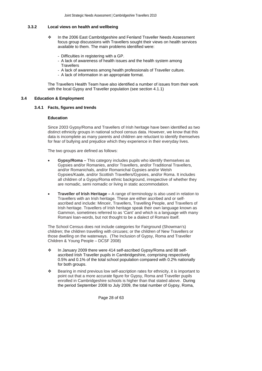# <span id="page-27-0"></span>**3.3.2 Local views on health and wellbeing**

- In the 2006 East Cambridgeshire and Fenland Traveller Needs Assessment focus group discussions with Travellers sought their views on health services available to them. The main problems identified were:
	- Difficulties in registering with a GP.
	- A lack of awareness of health issues and the health system among **Travellers**
	- A lack of awareness among health professionals of Traveller culture.
	- A lack of information in an appropriate format.

The Travellers Health Team have also identified a number of issues from their work with the local Gypsy and Traveller population (see section 4.1.1)

#### **3.4 Education & Employment**

**3.4.1 Facts, figures and trends** 

## **Education**

Since 2003 Gypsy/Roma and Travellers of Irish heritage have been identified as two distinct ethnicity groups in national school census data. However, we know that this data is incomplete as many parents and children are reluctant to identify themselves for fear of bullying and prejudice which they experience in their everyday lives.

The two groups are defined as follows:

- **Gypsy/Roma** This category includes pupils who identify themselves as Gypsies and/or Romanies, and/or Travellers, and/or Traditional Travellers, and/or Romanichals, and/or Romanichal Gypsies and/or Welsh Gypsies/Kaale, and/or Scottish Travellers/Gypsies, and/or Roma. It includes all children of a Gypsy/Roma ethnic background, irrespective of whether they are nomadic, semi nomadic or living in static accommodation.
- **Traveller of Irish Heritage** A range of terminology is also used in relation to Travellers with an Irish heritage. These are either ascribed and or selfascribed and include: Minceir, Travellers, Travelling People, and Travellers of Irish heritage. Travellers of Irish heritage speak their own language known as Gammon, sometimes referred to as 'Cant' and which is a language with many Romani loan-words, but not thought to be a dialect of Romani itself.

The School Census does not include categories for Fairground (Showman's) children; the children travelling with circuses; or the children of New Travellers or those dwelling on the waterways. (The Inclusion of Gypsy, Roma and Traveller Children & Young People – DCSF 2008)

- In January 2009 there were 414 self-ascribed Gypsy/Roma and 88 selfascribed Irish Traveller pupils in Cambridgeshire, comprising respectively 0.5% and 0.1% of the total school population compared with 0.2% nationally for both groups.
- Bearing in mind previous low self-ascription rates for ethnicity, it is important to point out that a more accurate figure for Gypsy, Roma and Traveller pupils enrolled in Cambridgeshire schools is higher than that stated above. During the period September 2008 to July 2009, the total number of Gypsy, Roma,

Page 28 of 63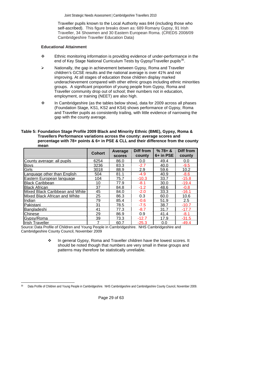Traveller pupils known to the Local Authority was 844 (including those who self-ascribed). This figure breaks down as: 689 Romany Gypsy, 91 Irish Traveller, 34 Showmen and 30 Eastern European Roma. (CREDS 2008/09 Cambridgeshire Traveller Education Data)

#### **Educational Attainment**

- Ethnic monitoring information is providing evidence of under-performance in the end of Key Stage National Curriculum Tests by Gypsy/Traveller pupils<sup>[30](#page-28-0)</sup>.
- $\triangleright$  Nationally, the gap in achievement between Gypsy, Roma and Traveller children's GCSE results and the national average is over 41% and not improving. At all stages of education those children display marked underachievement compared with other ethnic groups including ethnic minorities groups. A significant proportion of young people from Gypsy, Roma and Traveller community drop out of school; their numbers not in education, employment, or training (NEET) are also high.
- \* In Cambridgeshire (as the tables below show), data for 2009 across all phases (Foundation Stage, KS1, KS2 and KS4) shows performance of Gypsy, Roma and Traveller pupils as consistently trailing, with little evidence of narrowing the gap with the county average.

**Table 5: Foundation Stage Profile 2009 Black and Minority Ethnic (BME), Gypsy, Roma & Travellers Performance variations across the county: average scores and percentage with 78+ points & 6+ in PSE & CLL and their difference from the county mean** 

|                                 | <b>Cohort</b> | Average       | Diff from | $%78 + 8$ | Diff from     |
|---------------------------------|---------------|---------------|-----------|-----------|---------------|
|                                 |               | <b>scores</b> | county    | 6+ in PSE | county        |
| County average: all pupils      | 6254          | 86.0          | 0.0       | 49.4      | 0.0           |
| <b>Boys</b>                     | 3236          | 83.3          | $-2.7$    | 40.0      | $-9.5$        |
| Girls                           | 3018          | 88.9          | 2.9       | 59.6      | 10.2          |
| Language other than English     | 504           | 81.1          | $-4.9$    | 40.9      | $-8.6$        |
| Eastern European language       | 104           | 75.7          | $-10.3$   | 33.7      | $-15.8$       |
| <b>Black Caribbean</b>          | 10            | 77.9          | $-8.1$    | 30.0      | $-19.4$       |
| <b>Black African</b>            | 37            | 84.8          | $-1.2$    | 48.6      | $-0.8$        |
| Mixed Black Caribbean and White | 45            | 84.0          | $-2.0$    | 33.3      | $-16.1$       |
| Mixed Black African and White   | 25            | 86.3          | 0.3       | 60.0      | 10.6          |
| Indian                          | 79            | 85.4          | $-0.6$    | 51.9      | $2.5^{\circ}$ |
| Pakistani                       | 31            | 78.5          | $-7.5$    | 38.7      | $-10.7$       |
| Bangladeshi                     | 41            | 77.3          | $-8.7$    | 31.7      | $-17.7$       |
| <b>Chinese</b>                  | 29            | 86.9          | 0.9       | 41.4      | $-8.1$        |
| Gypsy/Roma                      | 39            | 73.3          | $-12.7$   | 17.9      | $-31.5$       |
| <b>Irish Traveller</b>          | 7             | 60.7          | $-25.3$   | 0.0       | $-49.4$       |

Source: Data Profile of Children and Young People in Cambridgeshire. NHS Cambridgeshire and Cambridgeshire County Council, November 2009

> \* In general Gypsy, Roma and Traveller children have the lowest scores. It should be noted though that numbers are very small in these groups and patterns may therefore be statistically unreliable.

Page 29 of 63

<span id="page-28-0"></span>l 30 Data Profile of Children and Young People in Cambridgeshire. NHS Cambridgeshire and Cambridgeshire County Council, November 2009.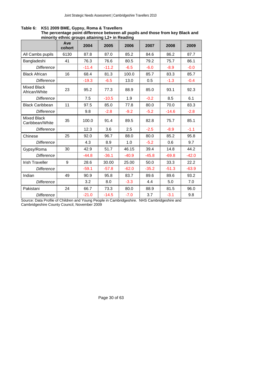|                                       | Ave<br>cohort | 2004    | 2005    | 2006    | 2007    | 2008    | 2009    |
|---------------------------------------|---------------|---------|---------|---------|---------|---------|---------|
| All Cambs pupils                      | 6130          | 87.8    | 87.0    | 85.2    | 84.6    | 86.2    | 87.7    |
| Bangladeshi                           | 41            | 76.3    | 76.6    | 80.5    | 79.2    | 75.7    | 86.1    |
| <b>Difference</b>                     |               | $-11.4$ | $-11.2$ | $-6.5$  | $-6.0$  | $-8.9$  | $-0.0$  |
| <b>Black African</b>                  | 16            | 68.4    | 81.3    | 100.0   | 85.7    | 83.3    | 85.7    |
| <b>Difference</b>                     |               | $-19.3$ | $-6.5$  | 13.0    | 0.5     | $-1.3$  | $-0.4$  |
| <b>Mixed Black</b><br>African/White   | 23            | 95.2    | 77.3    | 88.9    | 85.0    | 93.1    | 92.3    |
| <b>Difference</b>                     |               | 7.5     | $-10.5$ | 1.9     | $-0.2$  | 8.5     | 6.1     |
| <b>Black Caribbean</b>                | 11            | 97.5    | 85.0    | 77.8    | 80.0    | 70.0    | 83.3    |
| <b>Difference</b>                     |               | 9.8     | $-2.8$  | $-9.2$  | $-5.2$  | $-14.6$ | $-2.8$  |
| <b>Mixed Black</b><br>Caribbean/White | 35            | 100.0   | 91.4    | 89.5    | 82.8    | 75.7    | 85.1    |
| <b>Difference</b>                     |               | 12.3    | 3.6     | 2.5     | $-2.5$  | $-8.9$  | $-1.1$  |
| Chinese                               | 25            | 92.0    | 96.7    | 88.0    | 80.0    | 85.2    | 95.8    |
| <b>Difference</b>                     |               | 4.3     | 8.9     | 1.0     | $-5.2$  | 0.6     | 9.7     |
| Gypsy/Roma                            | 30            | 42.9    | 51.7    | 46.15   | 39.4    | 14.8    | 44.2    |
| <b>Difference</b>                     |               | $-44.8$ | $-36.1$ | $-40.9$ | $-45.8$ | $-69.8$ | $-42.0$ |
| <b>Irish Traveller</b>                | 9             | 28.6    | 30.00   | 25.00   | 50.0    | 33.3    | 22.2    |
| <b>Difference</b>                     |               | $-59.1$ | $-57.8$ | $-62.0$ | $-35.2$ | $-51.3$ | $-63.9$ |
| Indian                                | 49            | 90.9    | 95.8    | 83.7    | 89.6    | 89.6    | 93.2    |
| <b>Difference</b>                     |               | 3.2     | 8.0     | $-3.3$  | 4.4     | 5.0     | 7.0     |
| Pakistani                             | 24            | 66.7    | 73.3    | 80.0    | 88.9    | 81.5    | 96.0    |
| <b>Difference</b>                     |               | $-21.0$ | $-14.5$ | $-7.0$  | 3.7     | $-3.1$  | 9.8     |

**Table 6: KS1 2009 BME, Gypsy, Roma & Travellers** 

 **The percentage point difference between all pupils and those from key Black and minority ethnic groups attaining L2+ in Reading** 

Source: Data Profile of Children and Young People in Cambridgeshire. NHS Cambridgeshire and Cambridgeshire County Council, November 2009

Page 30 of 63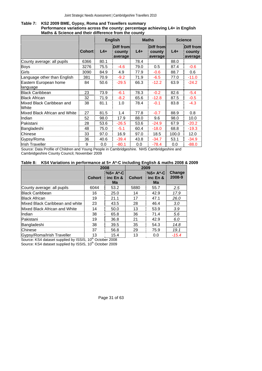#### **Table 7: KS2 2009 BME, Gypsy, Roma and Travellers summary Performance variations across the county: percentage achieving L4+ in English Maths & Science and their difference from the county**

|                                    |               | <b>English</b> |                                | <b>Maths</b> |                                | <b>Science</b> |                                |
|------------------------------------|---------------|----------------|--------------------------------|--------------|--------------------------------|----------------|--------------------------------|
|                                    | <b>Cohort</b> | $L4+$          | Diff from<br>county<br>average | $L4+$        | Diff from<br>county<br>average | $L4+$          | Diff from<br>county<br>average |
| County average: all pupils         | 6366          | 80.1           |                                | 78.4         |                                | 88.0           |                                |
| Boys                               | 3276          | 75.5           | $-4.6$                         | 79.0         | 0.5                            | 87.4           | $-0.6$                         |
| Girls                              | 3090          | 84.9           | 4.9                            | 77.9         | $-0.6$                         | 88.7           | 0.6                            |
| Language other than English        | 381           | 70.9           | $-9.2$                         | 71.9         | $-6.5$                         | 77.0           | $-11.0$                        |
| Eastern European home              | 84            | 50.6           | $-29.5$                        | 66.3         | $-12.2$                        | 63.9           | $-24.2$                        |
| language                           |               |                |                                |              |                                |                |                                |
| <b>Black Caribbean</b>             | 23            | 73.9           | $-6.1$                         | 78.3         | $-0.2$                         | 82.6           | $-5.4$                         |
| <b>Black African</b>               | 32            | 71.9           | $-8.2$                         | 65.6         | $-12.8$                        | 87.5           | $-0.5$                         |
| Mixed Black Caribbean and<br>White | 38            | 81.1           | 1.0                            | 78.4         | $-0.1$                         | 83.8           | $-4.3$                         |
| Mixed Black African and White      | 27            | 81.5           | 1.4                            | 77.8         | $-0.7$                         | 88.9           | 0.8                            |
| Indian                             | 52            | 98.0           | 17.9                           | 88.0         | 9.6                            | 98.0           | 10.0                           |
| Pakistani                          | 28            | 53.6           | $-26.5$                        | 53.6         | $-24.9$                        | 67.9           | $-20.2$                        |
| Bangladeshi                        | 48            | 75.0           | $-5.1$                         | 60.4         | $-18.0$                        | 68.8           | $-19.3$                        |
| <b>Chinese</b>                     | 33            | 97.0           | 16.9                           | 97.0         | 18.5                           | 100.0          | 12.0                           |
| Gypsy/Roma                         | 36            | 40.6           | $-39.4$                        | 43.8         | $-34.7$                        | 53.1           | $-34.9$                        |
| <b>Irish Traveller</b>             | 9             | 0.0            | $-80.1$                        | 0.0          | $-78.4$                        | 0.0            | $-88.0$                        |

Source: Data Profile of Children and Young People in Cambridgeshire. NHS Cambridgeshire and Cambridgeshire County Council, November 2009

# **Table 8: KS4 Variations in performance at 5+ A\*-C including English & maths 2008 & 2009**

|                                 |               | 2008                                     | 2009          |                                          |                  |
|---------------------------------|---------------|------------------------------------------|---------------|------------------------------------------|------------------|
|                                 | <b>Cohort</b> | $\frac{1}{2}$ %5+ A*-C<br>inc En &<br>Ma | <b>Cohort</b> | $\frac{1}{2}\%5+$ A*-C<br>inc En &<br>Ma | Change<br>2008-9 |
| County average: all pupils      | 6044          | 53.2                                     | 5880          | 55.7                                     | $2.5^{\circ}$    |
| <b>Black Caribbean</b>          | 16            | 25.0                                     | 14            | 42.9                                     | 17.9             |
| <b>Black African</b>            | 19            | 21.1                                     | 17            | 47.1                                     | 26.0             |
| Mixed Black Caribbean and white | 23            | 43.5                                     | 28            | 46.4                                     | 3.0              |
| Mixed Black African and White   | 14            | 50.0                                     | 13            | 53.9                                     | 3.9              |
| Indian                          | 38            | 65.8                                     | 36            | 71.4                                     | 5.6              |
| Pakistani                       | 19            | 36.8                                     | 21            | 42.9                                     | 6.0              |
| Bangladeshi                     | 38            | 39.5                                     | 35            | 54.3                                     | 14.8             |
| Chinese                         | 37            | 56.8                                     | 29            | 75.9                                     | 19.1             |
| Gypsy/Roma/Irish Traveller      | 13            | 15.4                                     | 13            | 0.0                                      | $-15.4$          |

Source: KS4 dataset supplied by ISSIS, 10<sup>th</sup> October 2008

Source: KS4 dataset supplied by ISSIS, 10<sup>th</sup> October 2009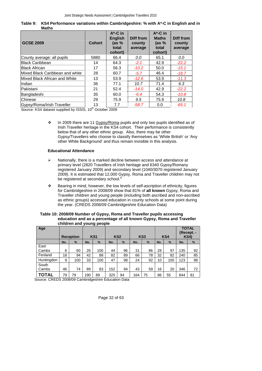| Table 9: KS4 Performance variations within Cambridgeshire: % with A*-C in English and in |
|------------------------------------------------------------------------------------------|
| Maths                                                                                    |

| <b>GCSE 2009</b>                | <b>Cohort</b> | $A^*$ -C in<br><b>English</b><br>(as $%$<br>total<br>cohort) | <b>Diff from</b><br>county<br>average | $A^*$ -C in<br><b>Maths</b><br>(as $%$<br>total<br>cohort) | Diff from<br>county<br>average |
|---------------------------------|---------------|--------------------------------------------------------------|---------------------------------------|------------------------------------------------------------|--------------------------------|
| County average: all pupils      | 5880          | 66.4                                                         | 0.0                                   | 65.1                                                       | 0.0                            |
| <b>Black Caribbean</b>          | 14            | 64.3                                                         | $-2.1$                                | 42.9                                                       | $-22.2$                        |
| <b>Black African</b>            | 17            | 56.3                                                         | $-10.2$                               | 50.0                                                       | $-15.1$                        |
| Mixed Black Caribbean and white | 28            | 60.7                                                         | $-5.7$                                | 46.4                                                       | $-18.7$                        |
| Mixed Black African and White   | 13            | 53.9                                                         | $-12.6$                               | 53.9                                                       | $-11.3$                        |
| Indian                          | 36            | 77.1                                                         | 10.7                                  | 71.4                                                       | 6.3                            |
| <b>Pakistani</b>                | 21            | 52.4                                                         | $-14.0$                               | 42.9                                                       | $-22.2$                        |
| Bangladeshi                     | 35            | 60.0                                                         | $-6.4$                                | 54.3                                                       | $-10.8$                        |
| Chinese                         | 29            | 75.9                                                         | 9.5                                   | 75.9                                                       | 10.8                           |
| Gypsy/Roma/Irish Traveller      | 13            | 7.7                                                          | $-58.7$                               | 0.0                                                        | $-65.1$                        |

Source: KS4 dataset supplied by ISSIS, 10<sup>th</sup> October 2009

 $\cdot \cdot$  In 2009 there are 11 Gypsy/Roma pupils and only two pupils identified as of Irish Traveller heritage in the KS4 cohort. Their performance is consistently below that of any other ethnic group. Also, there may be other Gypsy/Travellers who choose to classify themselves as 'White British' or 'Any other White Background' and thus remain invisible in this analysis.

#### **Educational Attendance**

- ¾ Nationally, there is a marked decline between access and attendance at primary level (2820 Travellers of Irish heritage and 6340 Gypsy/Romany registered January 2009) and secondary level (1040/3070 registered January 2009). It is estimated that 12,000 Gypsy, Roma and Traveller children may not be registered at secondary school.<sup>[9](#page-15-6)</sup>
- Bearing in mind, however, the low levels of self-ascription of ethnicity, figures for Cambridgeshire in 2008/09 show that 81% of **all known** Gypsy, Roma and Traveller children and young people (including both ascribed and non-ascribed as ethnic groups) accessed education in county schools at some point during the year. (CREDS 2008/09 Cambridgeshire Education Data)

#### **Table 10: 2008/09 Number of Gypsy, Roma and Traveller pupils accessing education and as a percentage of all known Gypsy, Roma and Traveller children and young people**

| Age            |     | <b>Reception</b> |     | KS <sub>1</sub> |     | KS <sub>2</sub> |     | KS <sub>3</sub> |     | KS4  |     | <b>TOTAL</b><br>(Recept. -<br><b>KS4)</b> |
|----------------|-----|------------------|-----|-----------------|-----|-----------------|-----|-----------------|-----|------|-----|-------------------------------------------|
|                | No. | %                | No. | $\frac{9}{6}$   | No. | %               | No. | $\frac{9}{6}$   | No. | $\%$ | No. | %                                         |
| East           |     |                  |     |                 |     |                 |     |                 |     |      |     |                                           |
| Cambs          | 6   | 60               | 26  | 100             | 44  | 96              | 31  | 86              | 28  | 97   | 135 | 92                                        |
| Fenland        | 18  | 94               | 42  | 88              | 82  | 89              | 66  | 78              | 32  | 82   | 240 | 85                                        |
| Huntingdon     | 9   | 100              | 33  | 100             | 47  | 98              | 24  | 92              | 10  | 100  | 123 | 98                                        |
| South<br>Cambs | 46  | 74               | 89  | 83              | 152 | 94              | 43  | 59              | 16  | 20   | 346 | 72                                        |
| TOTAL          | 79  | 79               | 190 | 89              | 325 | 94              | 164 | 75              | 86  | 55   | 844 | 81                                        |

Source: CREDS 2008/09 Cambridgeshire Education Data

Page 32 of 63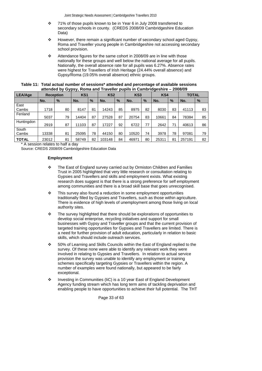- 71% of those pupils known to be in Year 6 in July 2008 transferred to secondary schools in county. (CREDS 2008/09 Cambridgeshire Education Data)
- $\div$  However, there remain a significant number of secondary school aged Gypsy, Roma and Traveller young people in Cambridgeshire not accessing secondary school provision.
- Attendance figures for the same cohort in 2008/09 are in line with those nationally for these groups and well below the national average for all pupils. Nationally, the overall absence rate for all pupils was 6.27%. Absence rates were highest for Travellers of Irish Heritage (24.44% overall absence) and Gypsy/Roma (19.05% overall absence) ethnic groups.

| Table 11: Total actual number of sessions* attended and percentage of available sessions |
|------------------------------------------------------------------------------------------|
| attended by Gypsy, Roma and Traveller pupils in Cambridgeshire - 2008/09                 |

| <b>LEA/Age</b> |       | <b>Reception</b> | KS <sub>1</sub> |    | KS <sub>2</sub> |               | KS <sub>3</sub> |               | KS4   |               | <b>TOTAL</b> |    |
|----------------|-------|------------------|-----------------|----|-----------------|---------------|-----------------|---------------|-------|---------------|--------------|----|
|                | No.   | $\frac{9}{6}$    | No.             | %  | No.             | $\frac{9}{6}$ | No.             | $\frac{9}{6}$ | No.   | $\frac{9}{6}$ | No.          | %  |
| East           |       |                  |                 |    |                 |               |                 |               |       |               |              |    |
| Cambs          | 1718  | 80               | 8147            | 81 | 14243           | 85            | 8975            | 82            | 8030  | 83            | 41113        | 83 |
| Fenland        |       |                  |                 |    |                 |               |                 |               |       |               |              |    |
|                | 5037  | 79               | 14404           | 87 | 27528           | 87            | 20754           | 83            | 10661 | 84            | 78384        | 85 |
| Huntingdon     | 2919  | 87               | 11103           | 87 | 17227           | 92            | 6722            | 77            | 2642  | 71            | 40613        | 86 |
| South          |       |                  |                 |    |                 |               |                 |               |       |               |              |    |
| Cambs          | 13338 | 81               | 25095           | 78 | 44150           | 80            | 10520           | 74            | 3978  | 78            | 97081        | 79 |
| <b>TOTAL</b>   | 23012 | 81               | 58749           | 82 | 103148          | 84            | 46971           | 80            | 25311 | 81            | 257191       | 82 |

\* A session relates to half a day Source: CREDS 2008/09 Cambridgeshire Education Data

# **Employment**

- \* The East of England survey carried out by Ormiston Children and Families Trust in 2005 highlighted that very little research or consultation relating to Gypsies and Travellers and skills and employment exists. What existing research does suggest is that there is a strong preference for self employment among communities and there is a broad skill base that goes unrecognised.
- $\cdot \cdot$  This survey also found a reduction in some employment opportunities traditionally filled by Gypsies and Travellers, such as those within agriculture. There is evidence of high levels of unemployment among those living on local authority sites.
- \* The survey highlighted that there should be explorations of opportunities to develop social enterprise, recycling initiatives and support for small businesses with Gypsy and Traveller groups and that the current provision of targeted training opportunities for Gypsies and Travellers are limited. There is a need for further provision of adult education, particularly in relation to basic skills, which should include outreach services.
- 50% of Learning and Skills Councils within the East of England replied to the survey. Of these none were able to identify any relevant work they were involved in relating to Gypsies and Travellers. In relation to actual service provision the survey was unable to identify any employment or training schemes specifically targeting Gypsies or Travellers within the region. A number of examples were found nationally, but appeared to be fairly exceptional.
- \* Investing in Communities (IiC) is a 10 year East of England Development Agency funding stream which has long term aims of tackling deprivation and enabling people to have opportunities to achieve their full potential. The THT

Page 33 of 63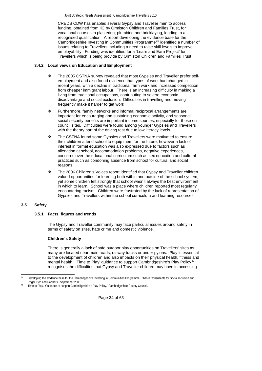<span id="page-33-0"></span>CREDS CDW has enabled several Gypsy and Traveller men to access funding, obtained from IiC by Ormiston Children and Families Trust, for vocational courses in plastering, plumbing and bricklaying, leading to a recognised qualification. A report developing the evidence base for the Cambridgeshire Investing in Communities Programme<sup>[31](#page-33-1)</sup> identified a number of issues relating to Travellers including a need to raise skill levels to improve employability. Funding was identified for a 'Learn and Earn Project' for Travellers which is being provide by Ormiston Children and Families Trust.

# **3.4.2 Local views on Education and Employment**

- \* The 2005 CSTNA survey revealed that most Gypsies and Traveller prefer selfemployment and also found evidence that types of work had changed in recent years, with a decline in traditional farm work and increased competition from cheaper immigrant labour. There is an increasing difficulty in making a living from traditional occupations, contributing to severe economic disadvantage and social exclusion. Difficulties in travelling and moving frequently make it harder to get work
- \* Furthermore, family networks and informal reciprocal arrangements are important for encouraging and sustaining economic activity, and seasonal social security benefits are important income sources, especially for those on council sites. Difficulties were found among younger Gypsies and Travellers with the theory part of the driving test due to low literacy levels.
- \* The CSTNA found some Gypsies and Travellers were motivated to ensure their children attend school to equip them for the future, however a lack of interest in formal education was also expressed due to factors such as alienation at school, accommodation problems, negative experiences, concerns over the educational curriculum such as sex education and cultural practices such as condoning absence from school for cultural and social reasons.
- \* The 2006 Children's Voices report identified that Gypsy and Traveller children valued opportunities for learning both within and outside of the school system, yet some children felt strongly that school wasn't always the best environment in which to learn. School was a place where children reported most regularly encountering racism. Children were frustrated by the lack of representation of Gypsies and Travellers within the school curriculum and learning resources.

# **3.5 Safety**

l

# **3.5.1 Facts, figures and trends**

The Gypsy and Traveller community may face particular issues around safety in terms of safety on sites, hate crime and domestic violence.

# **Children's Safety**

There is generally a lack of safe outdoor play opportunities on Travellers' sites as many are located near main roads, railway tracks or under pylons. Play is essential to the development of children and also impacts on their physical health, fitness and mental health. 'Time to Play' guidance to support Cambridgeshire's Play Policy<sup>3</sup> recognises the difficulties that Gypsy and Traveller children may have in accessing

Page 34 of 63

<sup>&</sup>lt;sup>31</sup> Developing the evidence base for the Cambridgeshire Investing in Communities Programme. Oxford Consultants for Social Inclusion and Roger Tym and Partners. September 2006.

<span id="page-33-2"></span><span id="page-33-1"></span><sup>&</sup>lt;sup>32</sup> Time to Play. Guidance to support Cambridgeshire's Play Policy. Cambridgeshire County Council.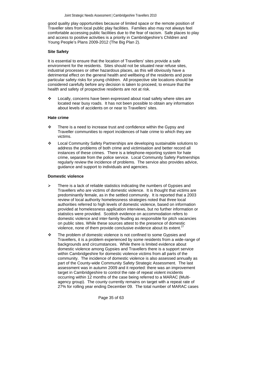good quality play opportunities because of limited space or the remote position of Traveller sites from local public play facilities. Families also may not always feel comfortable accessing public facilities due to the fear of racism. Safe places to play and access to positive activities is a priority in Cambridgeshire's Children and Young People's Plans 2009-2012 (The Big Plan 2).

#### **Site Safety**

It is essential to ensure that the location of Travellers' sites provide a safe environment for the residents. Sites should not be situated near refuse sites, industrial processes or other hazardous places, as this will obviously have a detrimental effect on the general health and wellbeing of the residents and pose particular safety risks for young children. All prospective site locations should be considered carefully before any decision is taken to proceed, to ensure that the health and safety of prospective residents are not at risk.

\* Locally, concerns have been expressed about road safety where sites are located near busy roads. It has not been possible to obtain any information about levels of accidents on or near to Travellers' sites.

#### **Hate crime**

- $\cdot \cdot$  There is a need to increase trust and confidence within the Gypsy and Traveller communities to report incidences of hate crime to which they are victims.
- Local Community Safety Partnerships are developing sustainable solutions to address the problems of both crime and victimisation and better record all instances of these crimes. There is a telephone-reporting system for hate crime, separate from the police service. Local Community Safety Partnerships regularly review the incidence of problems. The service also provides advice, guidance and support to individuals and agencies.

#### **Domestic violence**

- There is a lack of reliable statistics indicating the numbers of Gypsies and Travellers who are victims of domestic violence. It is thought that victims are predominantly female, as in the settled community. It is reported that a 2003 review of local authority homelessness strategies noted that three local authorities referred to high levels of domestic violence, based on information provided at homelessness application interviews, but no further information or statistics were provided. Scottish evidence on accommodation refers to domestic violence and inter-family feuding as responsible for pitch vacancies on public sites. While these sources attest to the presence of domestic violence, none of them provide conclusive evidence about its extent.<sup>[27](#page-23-14)</sup>
- \* The problem of domestic violence is not confined to some Gypsies and Travellers, it is a problem experienced by some residents from a wide-range of backgrounds and circumstances. While there is limited evidence about domestic violence among Gypsies and Travellers there is a support service within Cambridgeshire for domestic violence victims from all parts of the community. The incidence of domestic violence is also assessed annually as part of the County-wide Community Safety Strategic Assessment. The last assessment was in autumn 2009 and it reported: there was an improvement target in Cambridgeshire to control the rate of repeat violent incidents occurring within 12 months of the case being referred to a MARAC (Multiagency group). The county currently remains on target with a repeat rate of 27% for rolling year ending December 09. The total number of MARAC cases

Page 35 of 63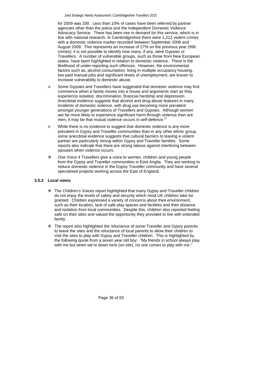<span id="page-35-0"></span>for 2009 was 330. Less than 10% of cases have been referred by partner agencies other than the police and the Independent Domestic Violence Advocacy Service. There has been rise in demand for this service, which is in line with national research. In Cambridgeshire there were 1,212 violent crimes with a domestic violence marker recorded between September 2008 and August 2009. This represents an increase of 27% on the previous year (956 crimes); it is not possible to identify how many, if any, were Gypsies or Travellers. A number of vulnerable groups, such as those from New European states, have been highlighted in relation to domestic violence. There is the likelihood of under-reporting such offences. However, the environmental factors such as, alcohol consumption, living in multiple occupancy housing, low paid manual jobs and significant levels of unemployment, are known to increase vulnerability to domestic abuse.

- $\triangleright$  Some Gypsies and Travellers have suggested that domestic violence may first commence when a family moves into a house and arguments start as they experience isolation, discrimination, financial hardship and depression. Anecdotal evidence suggests that alcohol and drug abuse features in many incidents of domestic violence, with drug use becoming more prevalent amongst younger generations of Travellers and Gypsies. Although women are far more likely to experience significant harm through violence than are men, it may be that mutual violence occurs in self-defence. $27$
- $\triangleright$  While there is no evidence to suggest that domestic violence is any more prevalent in Gypsy and Traveller communities than in any other ethnic group, some anecdotal evidence suggests that cultural barriers to leaving a violent partner are particularly strong within Gypsy and Traveller families. Some reports also indicate that there are strong taboos against interfering between spouses when violence occurs.
- One Voice 4 Travellers give a voice to women, children and young people from the Gypsy and Traveller communities in East Anglia. They are working to reduce domestic violence in the Gypsy Traveller community and have several specialised projects working across the East of England.

# **3.5.2 Local views**

- The Children's Voices report highlighted that many Gypsy and Traveller children do not enjoy the levels of safety and security which most UK children take for granted. Children expressed a variety of concerns about their environment, such as their location, lack of safe play spaces and facilities and their distance and isolation from local communities. Despite this, children also reported feeling safe on their sites and valued the opportunity they provided to live with extended family.
- $\div$  The report also highlighted the reluctance of some Traveller and Gypsy parents to leave the sites and the reluctance of local parents to allow their children to visit the sites to play with Gypsy and Traveller children. This is highlighted by the following quote from a seven year old boy: "My friends in school always play with me but when we're down here (on site), no one comes to play with me."

Page 36 of 63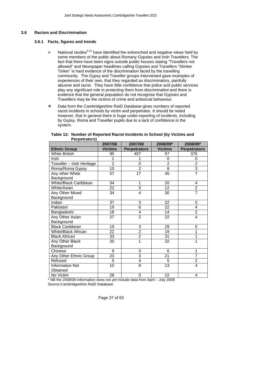### <span id="page-36-0"></span>**3.6 Racism and Discrimination**

#### **3.6.1 Facts, figures and trends**

- ightharpoonly National studies<sup>8,22</sup> have identified the entrenched and negative views held by some members of the public about Romany Gypsies and Irish Travellers. The fact that there have been signs outside public houses stating "Travellers not allowed" and Newspaper headlines calling Gypsies and Travellers "Stinker Tinker" is hard evidence of the discrimination faced by the travelling community. The Gypsy and Traveller groups interviewed gave examples of experiences of their own, that they regarded as discriminatory, painfully abusive and racist. They have little confidence that police and public services play any significant role in protecting them from discrimination and there is evidence that the general population do not recognise that Gypsies and Travellers may be the victims of crime and antisocial behaviour.
- Data from the Cambridgeshire RaID Database gives numbers of reported racist incidents in schools by victim and perpetrator. It should be noted however, that in general there is huge under-reporting of incidents, including by Gypsy, Roma and Traveller pupils due to a lack of confidence in the system.

|                            | 2007/08         | 2007/08             | 2008/09*       | 2008/09*            |
|----------------------------|-----------------|---------------------|----------------|---------------------|
| <b>Ethnic Group</b>        | <b>Victims</b>  | <b>Perpetrators</b> | <b>Victims</b> | <b>Perpetrators</b> |
| <b>White British</b>       | 95              | 457                 | 57             | 376                 |
| Irish                      | 1               | 1                   | 0              | 0                   |
| Traveller - Irish Heritage | $\overline{2}$  | 0                   | $\overline{2}$ | $\overline{2}$      |
| Roma/Roma Gypsy            | 10              | $\overline{2}$      | $\overline{8}$ | 3                   |
| Any other White            | 57              | 17                  | 45             | $\overline{7}$      |
| Background                 |                 |                     |                |                     |
| White/Black Caribbean      | 34              | 1                   | 20             | 4                   |
| White/Asian                | $\overline{22}$ | 5                   | 12             | $\overline{2}$      |
| Any Other Mixed            | $\overline{34}$ | 4                   | 30             | $\overline{7}$      |
| Background                 |                 |                     |                |                     |
| Indian                     | 37              | 3                   | 22             | 0                   |
| Pakistani                  | 19              | $\overline{6}$      | 22             | 4                   |
| Bangladeshi                | 18              | 4                   | 14             | $\overline{2}$      |
| Any Other Asian            | 27              | $\overline{2}$      | 22             | 4                   |
| Background                 |                 |                     |                |                     |
| <b>Black Caribbean</b>     | 19              | 3                   | 29             | 0                   |
| <b>White/Black African</b> | 22              | $\overline{2}$      | 19             | 1                   |
| <b>Black African</b>       | 33              | $\overline{2}$      | 31             | 1                   |
| Any Other Black            | 20              | $\overline{1}$      | 32             | 1                   |
| Background                 |                 |                     |                |                     |
| Chinese                    | 9               | 0                   | 6              | 1                   |
| Any Other Ethnic Group     | 23              | 3                   | 21             | 7                   |
| Refused                    | $\overline{5}$  | 4                   | $\overline{5}$ | $\overline{2}$      |
| <b>Information Not</b>     | 10              | 8                   | 13             | $\overline{4}$      |
| Obtained                   |                 |                     |                |                     |
| No Victim                  | 28              | $\Omega$            | 22             | 4                   |

#### **Table 12: Number of Reported Racist Incidents in School (by Victims and Perpetrators)**

\* NB the 2008/09 information does not yet include data from April – July 2009

Source:Cambridgeshire RaID Database

Page 37 of 63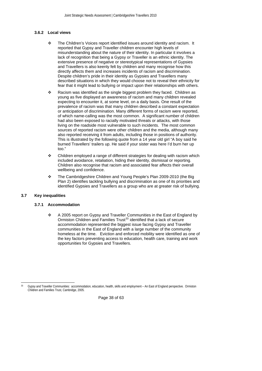# <span id="page-37-0"></span>**3.6.2 Local views**

- The Children's Voices report identified issues around identity and racism. It reported that Gypsy and Traveller children encounter high levels of misunderstanding about the nature of their identity. In particular it involves a lack of recognition that being a Gypsy or Traveller is an ethnic identity. The extensive presence of negative or stereotypical representations of Gypsies and Travellers is also keenly felt by children and many recognise how this directly affects them and increases incidents of racism and discrimination. Despite children's pride in their identity as Gypsies and Travellers many described situations in which they would choose not to reveal their ethnicity for fear that it might lead to bullying or impact upon their relationships with others.
- \* Racism was identified as the single biggest problem they faced. Children as young as five displayed an awareness of racism and many children revealed expecting to encounter it, at some level, on a daily basis. One result of the prevalence of racism was that many children described a constant expectation or anticipation of discrimination. Many different forms of racism were reported, of which name-calling was the most common. A significant number of children had also been exposed to racially motivated threats or attacks, with those living on the roadside most vulnerable to such incidents. The most common sources of reported racism were other children and the media, although many also reported receiving it from adults, including those in positions of authority. This is illustrated by the following quote from a 14 year old girl "A boy said he burned Travellers' trailers up. He said if your sister was here I'd burn her up too."
- Children employed a range of different strategies for dealing with racism which included avoidance, retaliation, hiding their identity, dismissal or reporting. Children also recognise that racism and associated fear affects their overall wellbeing and confidence.
- The Cambridgeshire Children and Young People's Plan 2009-2010 (the Big Plan 2) identifies tackling bullying and discrimination as one of its priorities and identified Gypsies and Travellers as a group who are at greater risk of bullying.

# **3.7 Key inequalities**

#### **3.7.1 Accommodation**

 A 2005 report on Gypsy and Traveller Communities in the East of England by Ormiston Children and Families Trust<sup>[33](#page-37-1)</sup> identified that a lack of secure accommodation represented the biggest issue facing Gypsy and Traveller communities in the East of England with a large number of the community homeless at the time. Eviction and enforced mobility were identified as one of the key factors preventing access to education, health care, training and work opportunities for Gypsies and Travellers.

Page 38 of 63

<span id="page-37-1"></span>l 33 Gypsy and Traveller Communities: accommodation, education, health, skills and employment – An East of England perspective. Ormiston Children and Families Trust, Cambridge, 2005.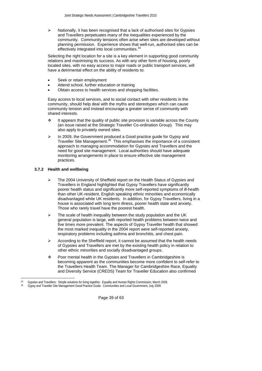<span id="page-38-0"></span>Nationally, it has been recognised that a lack of authorised sites for Gypsies and Travellers perpetuates many of the inequalities experienced by the community. Community tensions often arise when sites are developed without planning permission. Experience shows that well-run, authorised sites can be effectively integrated into local communities.<sup>[34](#page-38-1)</sup>

Selecting the right location for a site is a key element in supporting good community relations and maximising its success. As with any other form of housing, poorly located sites, with no easy access to major roads or public transport services, will have a detrimental effect on the ability of residents to:

- Seek or retain employment
- Attend school, further education or training
- Obtain access to health services and shopping facilities.

Easy access to local services, and to social contact with other residents in the community, should help deal with the myths and stereotypes which can cause community tension and instead encourage a greater sense of community with shared interests.

- \* It appears that the quality of public site provision is variable across the County (an issue raised at the Strategic Traveller Co-ordination Group). This may also apply to privately owned sites.
- ¾ In 2009, the Government produced a Good practice guide for Gypsy and Traveller Site Management.<sup>[35](#page-38-2)</sup> This emphasises the importance of a consistent approach to managing accommodation for Gypsies and Travellers and the need for good site management. Local authorities should have adequate monitoring arrangements in place to ensure effective site management practices.

# **3.7.2 Health and wellbeing**

 $\overline{a}$ 

- The 2004 University of Sheffield report on the Health Status of Gypsies and Travellers in England highlighted that Gypsy Travellers have significantly poorer health status and significantly more self-reported symptoms of ill-health than other UK-resident, English speaking ethnic minorities and economically disadvantaged white UK residents. In addition, for Gypsy Travellers, living in a house is associated with long term illness, poorer health state and anxiety. Those who rarely travel have the poorest health.
- $\triangleright$  The scale of health inequality between the study population and the UK general population is large, with reported health problems between twice and five times more prevalent. The aspects of Gypsy Traveller health that showed the most marked inequality in the 2004 report were self-reported anxiety, respiratory problems including asthma and bronchitis, and chest pain.
- ¾ According to the Sheffield report, it cannot be assumed that the health needs of Gypsies and Travellers are met by the existing health policy in relation to other ethnic minorities and socially disadvantaged groups.
- Poor mental health in the Gypsies and Travellers in Cambridgeshire is becoming apparent as the communities become more confident to self-refer to the Travellers Health Team. The Manager for Cambridgeshire Race, Equality and Diversity Service (CREDS) Team for Traveller Education also confirmed

Page 39 of 63

<sup>34</sup> Gypsies and Travellers: Simple solutions for living together. Equality and Human Rights Commission, March 2009.

<span id="page-38-2"></span><span id="page-38-1"></span><sup>35</sup> Gypsy and Traveller Site Management Good Practice Guide. Communities and Local Government, July 2009.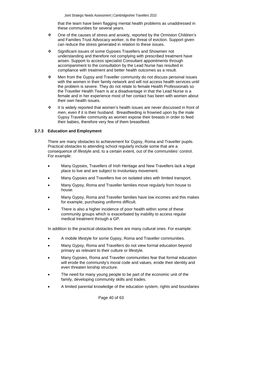that the team have been flagging mental health problems as unaddressed in these communities for several years.

- <span id="page-39-0"></span> One of the causes of stress and anxiety, reported by the Ormiston Children's and Families Trust Advocacy worker, is the threat of eviction. Support given can reduce the stress generated in relation to these issues.
- Significant issues of some Gypsies Travellers and Showmen not understanding and therefore not complying with prescribed treatment have arisen. Support to access specialist Consultant appointments through accompaniment to the consultation by the Lead Nurse has resulted in compliance with treatment and better health outcomes as a result.
- Men from the Gypsy and Traveller community do not discuss personal issues with the women in their family network and will not access health services until the problem is severe. They do not relate to female Health Professionals so the Traveller Health Team is at a disadvantage in that the Lead Nurse is a female and in her experience most of her contact has been with women about their own health issues.
- $\cdot \cdot$  It is widely reported that women's health issues are never discussed in front of men, even if it is their husband. Breastfeeding is frowned upon by the male Gypsy Traveller community as women expose their breasts in order to feed their babies, therefore very few of them breastfeed.

#### **3.7.3 Education and Employment**

There are many obstacles to achievement for Gypsy, Roma and Traveller pupils. Practical obstacles to attending school regularly include some that are a consequence of lifestyle and, to a certain extent, out of the communities' control. For example:

- Many Gypsies, Travellers of Irish Heritage and New Travellers lack a legal place to live and are subject to involuntary movement.
- Many Gypsies and Travellers live on isolated sites with limited transport.
- Many Gypsy, Roma and Traveller families move regularly from house to house.
- Many Gypsy, Roma and Traveller families have low incomes and this makes for example, purchasing uniforms difficult.
- There is also a higher incidence of poor health within some of these community groups which is exacerbated by inability to access regular medical treatment through a GP.

In addition to the practical obstacles there are many cultural ones. For example:

- A mobile lifestyle for some Gypsy, Roma and Traveller communities.
- Many Gypsy, Roma and Travellers do not view formal education beyond primary as relevant to their culture or lifestyle.
- Many Gypsies, Roma and Traveller communities fear that formal education will erode the community's moral code and values, erode their identity and even threaten kinship structure.
- The need for many young people to be part of the economic unit of the family, developing community skills and trades.
- A limited parental knowledge of the education system, rights and boundaries

Page 40 of 63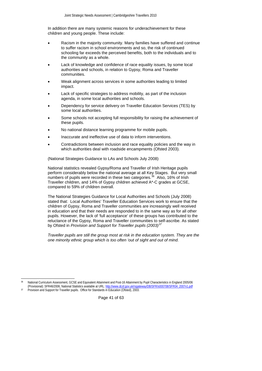In addition there are many systemic reasons for underachievement for these children and young people. These include:

- Racism in the majority community. Many families have suffered and continue to suffer racism in school environments and so, the risk of continued schooling far exceeds the perceived benefits, both to the individuals and to the community as a whole.
- Lack of knowledge and confidence of race equality issues, by some local authorities and schools, in relation to Gypsy, Roma and Traveller communities.
- Weak alignment across services in some authorities leading to limited impact.
- Lack of specific strategies to address mobility, as part of the inclusion agenda, in some local authorities and schools.
- Dependency for service delivery on Traveller Education Services (TES) by some local authorities.
- Some schools not accepting full responsibility for raising the achievement of these pupils.
- No national distance learning programme for mobile pupils.
- Inaccurate and ineffective use of data to inform interventions.
- Contradictions between inclusion and race equality policies and the way in which authorities deal with roadside encampments (Ofsted 2003).

(National Strategies Guidance to LAs and Schools July 2008)

National statistics revealed Gypsy/Roma and Traveller of Irish Heritage pupils perform considerably below the national average at all Key Stages. But very small numbers of pupils were recorded in these two categories.<sup>[36](#page-40-0)</sup> Also, 16% of Irish Traveller children, and 14% of Gypsy children achieved A\*-C grades at GCSE, compared to 59% of children overall.

The National Strategies Guidance for Local Authorities and Schools (July 2008) stated that: Local Authorities' Traveller Education Services work to ensure that the children of Gypsy, Roma and Traveller communities are increasingly well received in education and that their needs are responded to in the same way as for all other pupils. However, the lack of 'full acceptance' of these groups has contributed to the reluctance of the Gypsy, Roma and Traveller communities to self-ascribe. As stated by Ofsted in *Provision and Support for Traveller pupils (2003)[37](#page-40-1)*

*Traveller pupils are still the group most at risk in the education system. They are the one minority ethnic group which is too often 'out of sight and out of mind.* 

l

Page 41 of 63

<sup>36</sup> National Curriculum Assessment, GCSE and Equivalent Attainment and Post-16 Attainment by Pupil Characteristics in England 2005/06 (Provisional): SFR46/2006, National Statistics available at URL: http://www.dcsf.gov.uk/rsgateway/DB/SFR/s000708/SFR04\_2007v1.pd

<span id="page-40-1"></span><span id="page-40-0"></span><sup>&</sup>lt;sup>37</sup> Provision and Support for Traveller pupils. Office for Standards in Education (Ofsted), 2003.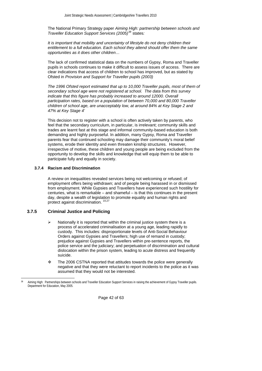<span id="page-41-0"></span>The National Primary Strategy paper *Aiming High: partnership between schools and Traveller Education Support Services (2005)[38](#page-41-1)* states*:* 

*It is important that mobility and uncertainty of lifestyle do not deny children their entitlement to a full education. Each school they attend should offer them the same opportunities as it does other children…* 

The lack of confirmed statistical data on the numbers of Gypsy, Roma and Traveller pupils in schools continues to make it difficult to assess issues of access. There are clear indications that access of children to school has improved, but as stated by Ofsted in *Provision and Support for Traveller pupils (2003)*

*The 1996 Ofsted report estimated that up to 10,000 Traveller pupils, most of them of secondary school age were not registered at school. The data from this survey*  indicate that this figure has probably increased to around 12000. Overall *participation rates, based on a population of between 70,000 and 80,000 Traveller children of school age, are unacceptably low, at around 84% at Key Stage 2 and 47% at Key Stage 4'* 

This decision not to register with a school is often actively taken by parents, who feel that the secondary curriculum, in particular, is irrelevant; community skills and trades are learnt fast at this stage and informal community-based education is both demanding and highly purposeful. In addition, many Gypsy, Roma and Traveller parents fear that continued schooling may damage their community's moral belief systems, erode their identity and even threaten kinship structures. However, irrespective of motive, these children and young people are being excluded from the opportunity to develop the skills and knowledge that will equip them to be able to participate fully and equally in society.

#### **3.7.4 Racism and Discrimination**

A review on inequalities revealed services being not welcoming or refused; of employment offers being withdrawn; and of people being harassed in or dismissed from employment. While Gypsies and Travellers have experienced such hostility for centuries, what is remarkable – and shameful – is that this continues in the present day, despite a wealth of legislation to promote equality and human rights and protect against discrimination. <sup>[10,](#page-15-4)27</sup>

## **3.7.5 Criminal Justice and Policing**

 $\overline{a}$ 

- Nationally it is reported that within the criminal justice system there is a process of accelerated criminalisation at a young age, leading rapidly to custody. This includes: disproportionate levels of Anti-Social Behaviour Orders against Gypsies and Travellers; high use of remand in custody; prejudice against Gypsies and Travellers within pre-sentence reports, the police service and the judiciary; and perpetuation of discrimination and cultural dislocation within the prison system, leading to acute distress and frequently suicide.
- \* The 2006 CSTNA reported that attitudes towards the police were generally negative and that they were reluctant to report incidents to the police as it was assumed that they would not be interested.

Page 42 of 63

<span id="page-41-1"></span><sup>38</sup> Aiming High: Partnerships between schools and Traveller Education Support Services in raising the achievement of Gypsy Traveller pupils. Department for Education, May 2005.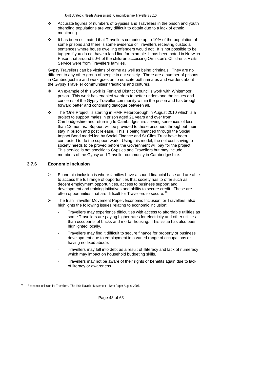- <span id="page-42-0"></span> Accurate figures of numbers of Gypsies and Travellers in the prison and youth offending populations are very difficult to obtain due to a lack of ethnic monitoring.
- \* It has been estimated that Travellers comprise up to 10% of the population of some prisons and there is some evidence of Travellers receiving custodial sentences where house dwelling offenders would not. It is not possible to be tagged if you do not have a land line for example. It has been noted in Norwich Prison that around 50% of the children accessing Ormiston's Children's Visits Service were from Travellers families.

Gypsy Travellers can be victims of crime as well as being criminals. They are no different to any other group of people in our society. There are a number of prisons in Cambridgeshire and work goes on to educate both inmates and warders about the Gypsy Traveller communities' traditions and cultures.

- An example of this work is Fenland District Council's work with Whitemoor prison. This work has enabled warders to better understand the issues and concerns of the Gypsy Traveller community within the prison and has brought forward better and continuing dialogue between all.
- $\div$  The 'One Project' is starting in HMP Peterborough in August 2010 which is a project to support males in prison aged 21 years and over from Cambridgeshire and returning to Cambridgeshire serving sentences of less than 12 months. Support will be provided to these prisoners throughout their stay in prison and post release. This is being financed through the Social Impact Bond model led by Social Finance and St Giles Trust have been contracted to do the support work. Using this model, the net cost saving to society needs to be proved before the Government will pay for the project. This service is not specific to Gypsies and Travellers but may include members of the Gypsy and Traveller community in Cambridgeshire.

# **3.7.6 Economic Inclusion**

- ¾ Economic inclusion is where families have a sound financial base and are able to access the full range of opportunities that society has to offer such as decent employment opportunities, access to business support and development and training initiatives and ability to secure credit. These are often opportunities that are difficult for Travellers to secure.<sup>[39](#page-42-1)</sup>
- ¾ The Irish Traveller Movement Paper, Economic Inclusion for Travellers, also highlights the following issues relating to economic inclusion:
	- Travellers may experience difficulties with access to affordable utilities as some Travellers are paying higher rates for electricity and other utilities than occupants of bricks and mortar housing. This issue has also been highlighted locally.
	- Travellers may find it difficult to secure finance for property or business development due to employment in a varied range of occupations or having no fixed abode.
	- Travellers may fall into debt as a result of illiteracy and lack of numeracy which may impact on household budgeting skills.
	- Travellers may not be aware of their rights or benefits again due to lack of literacy or awareness.

Page 43 of 63

<span id="page-42-1"></span> $\overline{a}$ Economic Inclusion for Travellers. The Irish Traveller Movement – Draft Paper August 2007.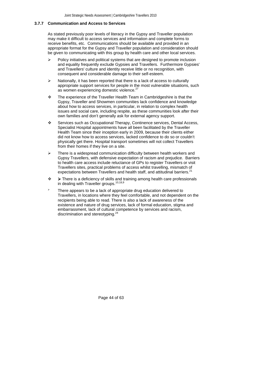#### <span id="page-43-0"></span>**3.7.7 Communication and Access to Services**

As stated previously poor levels of literacy in the Gypsy and Traveller population may make it difficult to access services and information and complete forms to receive benefits, etc. Communications should be available and provided in an appropriate format for the Gypsy and Traveller population and consideration should be given to communicating with this group by health care and other local services.

- $\triangleright$  Policy initiatives and political systems that are designed to promote inclusion and equality frequently exclude Gypsies and Travellers. Furthermore Gypsies' and Travellers' culture and identity receive little or no recognition, with consequent and considerable damage to their self-esteem.
- Nationally, it has been reported that there is a lack of access to culturally appropriate support services for people in the most vulnerable situations, such as women experiencing domestic violence.<sup>[27](#page-23-14)</sup>
- \* The experience of the Traveller Health Team in Cambridgeshire is that the Gypsy, Traveller and Showmen communities lack confidence and knowledge about how to access services, in particular, in relation to complex health issues and social care, including respite, as these communities look after their own families and don't generally ask for external agency support.
- Services such as Occupational Therapy, Continence services, Dental Access, Specialist Hospital appointments have all been facilitated by the Traveller Health Team since their inception early in 2009, because their clients either did not know how to access services, lacked confidence to do so or couldn't physically get there. Hospital transport sometimes will not collect Travellers from their homes if they live on a site.
- $\geq$  There is a widespread communication difficulty between health workers and Gypsy Travellers, with defensive expectation of racism and prejudice. Barriers to health care access include reluctance of GPs to register Travellers or visit Travellers sites, practical problems of access whilst travelling, mismatch of expectations between Travellers and health staff, and attitudinal barriers.<sup>[21](#page-23-7)</sup>
- ¾ There is a deficiency of skills and training among health care professionals in dealing with Traveller groups.<sup>[10](#page-15-4),18,[9](#page-15-6)</sup>
- There appears to be a lack of appropriate drug education delivered to Travellers, in locations where they feel comfortable, and not dependent on the recipients being able to read. There is also a lack of awareness of the existence and nature of drug services, lack of formal education, stigma and embarrassment, lack of cultural competence by services and racism, discrimination and stereotyping.<sup>24</sup>

Page 44 of 63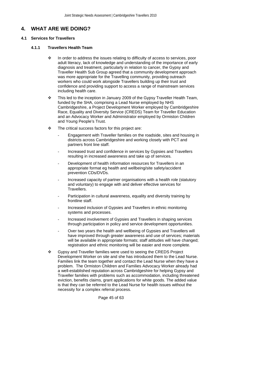# <span id="page-44-0"></span>**4. WHAT ARE WE DOING?**

# **4.1 Services for Travellers**

# **4.1.1 Travellers Health Team**

- In order to address the issues relating to difficulty of access to services, poor adult literacy, lack of knowledge and understanding of the importance of early diagnosis and treatment, particularly in relation to cancer, the Gypsy and Traveller Health Sub Group agreed that a community development approach was more appropriate for the Travelling community, providing outreach workers who could work alongside Travellers building up their trust and confidence and providing support to access a range of mainstream services including health care.
- $\cdot \cdot$  This led to the inception in January 2009 of the Gypsy Traveller Health Team, funded by the SHA, comprising a Lead Nurse employed by NHS Cambridgeshire, a Project Development Worker employed by Cambridgeshire Race, Equality and Diversity Service (CREDS) Team for Traveller Education and an Advocacy Worker and Administrator employed by Ormiston Children and Young People's Trust.
- $\div$  The critical success factors for this project are:
	- Engagement with Traveller families on the roadside, sites and housing in districts across Cambridgeshire and working closely with PCT and partners front line staff.
	- Increased trust and confidence in services by Gypsies and Travellers resulting in increased awareness and take up of services.
	- Development of health information resources for Travellers in an appropriate format eg health and wellbeing/site safety/accident prevention CDs/DVDs.
	- Increased capacity of partner organisations with a health role (statutory and voluntary) to engage with and deliver effective services for Travellers.
	- Participation in cultural awareness, equality and diversity training by frontline staff.
	- Increased inclusion of Gypsies and Travellers in ethnic monitoring systems and processes.
	- Increased involvement of Gypsies and Travellers in shaping services through participation in policy and service development opportunities.
	- Over two years the health and wellbeing of Gypsies and Travellers will have improved through greater awareness and use of services; materials will be available in appropriate formats; staff attitudes will have changed; registration and ethnic monitoring will be easier and more complete.
- Gypsy and Traveller families were used to seeing the CREDS Project Development Worker on site and she has introduced them to the Lead Nurse. Families link the team together and contact the Lead Nurse when they have a problem. The Ormiston Children and Families Advocacy Worker already had a well-established reputation across Cambridgeshire for helping Gypsy and Traveller families with problems such as accommodation, including threatened eviction, benefits claims, grant applications for white goods. The added value is that they can be referred to the Lead Nurse for health issues without the necessity for a complex referral process.

Page 45 of 63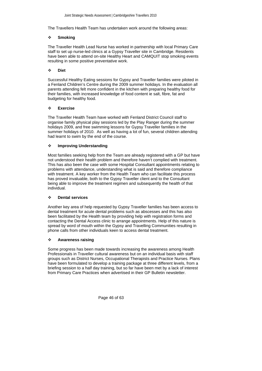The Travellers Health Team has undertaken work around the following areas:

# **Smoking**

The Traveller Health Lead Nurse has worked in partnership with local Primary Care staff to set up nurse-led clinics at a Gypsy Traveller site in Cambridge. Residents have been able to attend on-site Healthy Heart and CAMQUIT stop smoking events resulting in some positive preventative work.

# **Diet**

Successful Healthy Eating sessions for Gypsy and Traveller families were piloted in a Fenland Children's Centre during the 2009 summer holidays. In the evaluation all parents attending felt more confident in the kitchen with preparing healthy food for their families, with increased knowledge of food content ie salt, fibre, fat and budgeting for healthy food.

# **Exercise**

The Traveller Health Team have worked with Fenland District Council staff to organise family physical play sessions led by the Play Ranger during the summer holidays 2009, and free swimming lessons for Gypsy Traveller families in the summer holidays of 2010. As well as having a lot of fun, several children attending had learnt to swim by the end of the course.

# **Improving Understanding**

Most families seeking help from the Team are already registered with a GP but have not understood their health problem and therefore haven't complied with treatment. This has also been the case with some Hospital Consultant appointments relating to problems with attendance, understanding what is said and therefore compliance with treatment. A key worker from the Health Team who can facilitate this process has proved invaluable, both to the Gypsy Traveller client and to the Consultant being able to improve the treatment regimen and subsequently the health of that individual.

# **Dental services**

Another key area of help requested by Gypsy Traveller families has been access to dental treatment for acute dental problems such as abscesses and this has also been facilitated by the Health team by providing help with registration forms and contacting the Dental Access clinic to arrange appointments. Help of this nature is spread by word of mouth within the Gypsy and Travelling Communities resulting in phone calls from other individuals keen to access dental treatment.

# **Awareness raising**

Some progress has been made towards increasing the awareness among Health Professionals in Traveller cultural awareness but on an individual basis with staff groups such as District Nurses, Occupational Therapists and Practice Nurses. Plans have been formulated to develop a training package at three different levels, from a briefing session to a half day training, but so far have been met by a lack of interest from Primary Care Practices when advertised in their GP Bulletin newsletter.

Page 46 of 63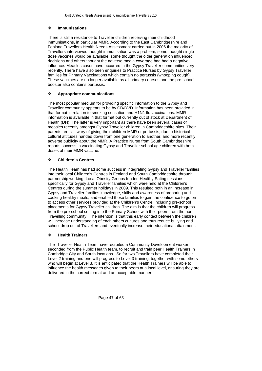# **Immunisations**

There is still a resistance to Traveller children receiving their childhood immunisations, in particular MMR. According to the East Cambridgeshire and Fenland Travellers Health Needs Assessment carried out in 2006 the majority of Travellers interviewed thought immunisation was a problem, some thought single dose vaccines would be available, some thought the older generation influenced decisions and others thought the adverse media coverage had had a negative influence. Measles cases have occurred in the Gypsy Traveller communities very recently. There have also been enquiries to Practice Nurses by Gypsy Traveller families for Primary Vaccinations which contain no pertussis (whooping cough). These vaccines are no longer available as all primary courses and the pre-school booster also contains pertussis.

# **Appropriate communications**

The most popular medium for providing specific information to the Gypsy and Traveller community appears to be by CD/DVD. Information has been provided in that format in relation to smoking cessation and H1N1 flu vaccinations. MMR information is available in that format but currently out of stock at Department of Health (DH). The latter is very important as there have been several cases of measles recently amongst Gypsy Traveller children in Cambridgeshire sites. Their parents are still wary of giving their children MMR or pertussis, due to historical cultural attitudes handed down from one generation to another, and more recently adverse publicity about the MMR. A Practice Nurse from South Cambridgeshire reports success in vaccinating Gypsy and Traveller school age children with both doses of their MMR vaccine.

# **Children's Centres**

The Health Team has had some success in integrating Gypsy and Traveller families into their local Children's Centres in Fenland and South Cambridgeshire through partnership working. Local Obesity Groups funded Healthy Eating sessions specifically for Gypsy and Traveller families which were held at the Children's Centres during the summer holidays in 2009. This resulted both in an increase in Gypsy and Traveller families knowledge, skills and awareness of preparing and cooking healthy meals, and enabled those families to gain the confidence to go on to access other services provided at the Children's Centre, including pre-school placements for Gypsy Traveller children. The aim is that the children will progress from the pre-school setting into the Primary School with their peers from the non-Travelling community. The intention is that this early contact between the children will increase understanding of each others cultures and thus reduce bullying and school drop out of Travellers and eventually increase their educational attainment.

# **Health Trainers**

The Traveller Health Team have recruited a Community Development worker, seconded from the Public Health team, to recruit and train peer Health Trainers in Cambridge City and South locations. So far two Travellers have completed their Level 2 training and one will progress to Level 3 training, together with some others who will begin at Level 3. It is anticipated that the Health Trainers will be able to influence the health messages given to their peers at a local level, ensuring they are delivered in the correct format and an acceptable manner.

Page 47 of 63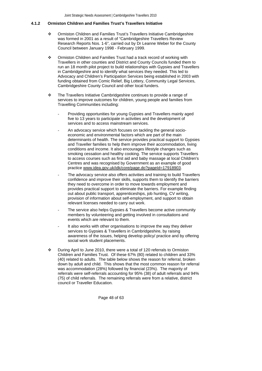#### <span id="page-47-0"></span>**4.1.2 Ormiston Children and Families Trust's Travellers Initiative**

- Ormiston Children and Families Trust's Travellers Initiative Cambridgeshire was formed in 2001 as a result of "Cambridgeshire Travellers Review Research Reports Nos. 1-6", carried out by Dr Leanne Weber for the County Council between January 1998 - February 1999.
- Ormiston Children and Families Trust had a track record of working with Travellers in other counties and District and County Councils funded them to run an 18 month pilot project to build relationships with Gypsies and Travellers in Cambridgeshire and to identify what services they needed. This led to Advocacy and Children's Participation Services being established in 2003 with funding obtained from Comic Relief, Big Lottery, Community Legal Services, Cambridgeshire County Council and other local funders.
- \* The Travellers Initiative Cambridgeshire continues to provide a range of services to improve outcomes for children, young people and families from Travelling Communities including:
	- Providing opportunities for young Gypsies and Travellers mainly aged five to 13 years to participate in activities and the development of services and to access mainstream services.
	- An advocacy service which focuses on tackling the general socioeconomic and environmental factors which are part of the main determinants of health. The service provides practical support to Gypsies and Traveller families to help them improve their accommodation, living conditions and income. It also encourages lifestyle changes such as smoking cessation and healthy cooking. The service supports Travellers to access courses such as first aid and baby massage at local Children's Centres and was recognised by Government as an example of good practice [www.idea.gov.uk/idk/core/page.do?pageId=17918903](http://www.idea.gov.uk/idk/core/page.do?pageId=17918903).
	- The advocacy service also offers activities and training to build Travellers confidence and improve their skills, supports them to identify the barriers they need to overcome in order to move towards employment and provides practical support to eliminate the barriers. For example finding out about public transport, apprenticeships, job hunting, CV writing, provision of information about self-employment, and support to obtain relevant licenses needed to carry out work.
	- The service also helps Gypsies & Travellers become active community members by volunteering and getting involved in consultations and events which are relevant to them.
	- It also works with other organisations to improve the way they deliver services to Gypsies & Travellers in Cambridgeshire, by raising awareness of the issues, helping develop policy/ practice and by offering social work student placements.
- During April to June 2010, there were a total of 120 referrals to Ormiston Children and Families Trust. Of these 67% (80) related to children and 33% (40) related to adults. The table below shows the reason for referral, broken down by adult and child. This shows that the most common reason for referral was accommodation (28%) followed by financial (23%). The majority of referrals were self-referrals accounting for 95% (38) of adult referrals and 94% (75) of child referrals. The remaining referrals were from a relative, district council or Traveller Education.

Page 48 of 63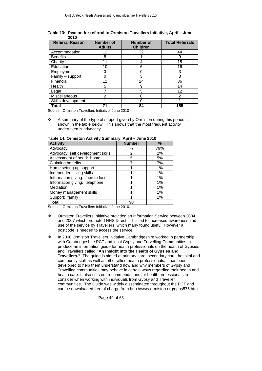| <b>Referral Reason</b> | <b>Number of</b><br><b>Adults</b> | <b>Number of</b><br><b>Children</b> | <b>Total Referrals</b> |
|------------------------|-----------------------------------|-------------------------------------|------------------------|
| Accommodation          | 12                                | 32                                  | 44                     |
| <b>Benefits</b>        | 8                                 |                                     | 9                      |
| Charity                | 11                                |                                     | 15                     |
| Education              | 10                                | 6                                   | 16                     |
| Employment             | 3                                 | Ω                                   | 3                      |
| Family - support       | O                                 | 3                                   | 3                      |
| Financial              | 12                                | 24                                  | 36                     |
| Health                 | 5                                 | 9                                   | 14                     |
| Legal                  |                                   | 5                                   | 12                     |
| Miscellaneous          | 2                                 |                                     | 2                      |
| Skills development     |                                   |                                     |                        |
| Total                  | 71                                | 84                                  | 155                    |

**Table 13: Reason for referral to Ormiston Travellers Initiative, April – June 2010**

Source: Ormiston Travellers Initiative, June 2010

 $\cdot$  A summary of the type of support given by Ormiston during this period is shown in the table below. This shows that the most frequent activity undertaken is advocacy.

| <b>Activity</b>                   | <b>Number</b> | $\%$ |
|-----------------------------------|---------------|------|
| Advocacy                          | 77            | 79%  |
| Advocacy: self development skills | 2             | 2%   |
| Assessment of need: home          | 5             | 5%   |
| Claiming benefits                 |               | 7%   |
| Home setting up support           |               | 1%   |
| Independent living skills         |               | 1%   |
| Information giving: face to face  |               | 1%   |
| Information giving: telephone     |               | 1%   |
| Mediation                         |               | 1%   |
| Money management skills           |               | 1%   |
| Support: family                   |               | 1%   |
| <b>Total</b>                      | 98            |      |

| Table 14: Ormiston Activity Summary, April – June 2010 |  |  |
|--------------------------------------------------------|--|--|
|--------------------------------------------------------|--|--|

Source: Ormiston Travellers Initiative, June 2010.

- Ormiston Travellers Initiative provided an Information Service between 2004 and 2007 which promoted NHS Direct. This led to increased awareness and use of the service by Travellers, which many found useful. However a postcode is needed to access the service.
- \* In 2008 Ormiston Travellers Initiative Cambridgeshire worked in partnership with Cambridgeshire PCT and local Gypsy and Travelling Communities to produce an information guide for health professionals on the health of Gypsies and Travellers called **"An insight into the Health of Gypsies and Travellers."** The guide is aimed at primary care, secondary care, hospital and community staff as well as other allied health professionals. It has been developed to help them understand how and why members of Gypsy and Travelling communities may behave in certain ways regarding their health and health care. It also sets out recommendations for health professionals to consider when working with individuals from Gypsy and Traveller communities. The Guide was widely disseminated throughout the PCT and can be downloaded free of charge from <http://www.ormiston.org/opus575.html>

Page 49 of 63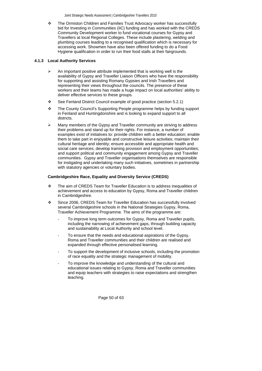<span id="page-49-0"></span> The Ormiston Children and Families Trust Advocacy worker has successfully bid for Investing in Communities (IiC) funding and has worked with the CREDS Community Development worker to fund vocational courses for Gypsy and Travellers at local Regional Colleges. These include plastering, welding and plumbing courses leading to a recognised qualification which is necessary for accessing work. Showmen have also been offered funding to do a Food Hygiene qualification in order to run their food stalls at their fairgrounds.

# **4.1.3 Local Authority Services**

- $\triangleright$  An important positive attribute implemented that is working well is the availability of Gypsy and Traveller Liaison Officers who have the responsibility for supporting and assisting Romany Gypsies and Irish Travellers and representing their views throughout the councils. The presence of these workers and their teams has made a huge impact on local authorities' ability to deliver effective services to these groups.
- See Fenland District Council example of good practice (section 5.2.1)
- \* The County Council's Supporting People programme helps by funding support in Fenland and Huntingdonshire and is looking to expand support to all districts.
- Many members of the Gypsy and Traveller community are striving to address their problems and stand up for their rights. For instance, a number of examples exist of initiatives to: provide children with a better education; enable them to take part in enjoyable and constructive leisure activities; maintain their cultural heritage and identity; ensure accessible and appropriate health and social care services; develop training provision and employment opportunities; and support political and community engagement among Gypsy and Traveller communities. Gypsy and Traveller organisations themselves are responsible for instigating and undertaking many such initiatives, sometimes in partnership with statutory agencies or voluntary bodies.

# **Cambridgeshire Race, Equality and Diversity Service (CREDS)**

- $\div$  The aim of CREDS Team for Traveller Education is to address inequalities of achievement and access to education by Gypsy, Roma and Traveller children in Cambridgeshire.
- Since 2006, CREDS Team for Traveller Education has successfully involved several Cambridgeshire schools in the National Strategies Gypsy, Roma, Traveller Achievement Programme. The aims of the programme are:
	- To improve long term outcomes for Gypsy, Roma and Traveller pupils, including the narrowing of achievement gaps, through building capacity and sustainability at Local Authority and school level.
	- To ensure that the needs and educational aspirations of the Gypsy, Roma and Traveller communities and their children are realised and expanded through effective personalised learning.
	- To support the development of inclusive schools, including the promotion of race equality and the strategic management of mobility.
	- To improve the knowledge and understanding of the cultural and educational issues relating to Gypsy, Roma and Traveller communities and equip teachers with strategies to raise expectations and strengthen teaching.

Page 50 of 63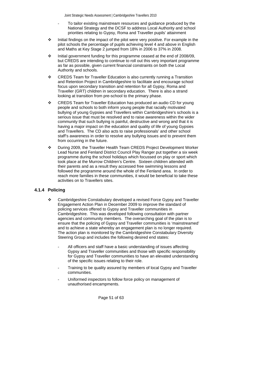- To tailor existing mainstream resources and guidance produced by the National Strategy and the DCSF to address Local Authority and school priorities relating to Gypsy, Roma and Traveller pupils' attainment
- <span id="page-50-0"></span> $\div$  Initial findings on the impact of the pilot were very positive. For example in the pilot schools the percentage of pupils achieving level 4 and above in English and Maths at Key Stage 2 jumped from 18% in 2006 to 37% in 2008.
- $\cdot \cdot$  Initial government funding for this programme ceased at the end of 2008/09, but CREDS are intending to continue to roll out this very important programme as far as possible, given current financial constraints on both the Local Authority and schools.
- \* CREDS Team for Traveller Education is also currently running a Transition and Retention Project in Cambridgeshire to facilitate and encourage school focus upon secondary transition and retention for all Gypsy, Roma and Traveller (GRT) children in secondary education. There is also a strand looking at transition from pre-school to the primary phase.
- CREDS Team for Traveller Education has produced an audio CD for young people and schools to both inform young people that racially motivated bullying of young Gypsies and Travellers within Cambridgeshire's schools is a serious issue that must be resolved and to raise awareness within the wider community that such bullying is painful, destructive and wrong and that it is having a major impact on the education and quality of life of young Gypsies and Travellers. The CD also acts to raise professionals' and other school staff's awareness in order to resolve any bullying issues and to prevent them from occurring in the future.
- During 2009, the Traveller Health Team CREDS Project Development Worker Lead Nurse and Fenland District Council Play Ranger put together a six week programme during the school holidays which focussed on play or sport which took place at the Murrow Children's Centre. Sixteen children attended with their parents and as a result they accessed free swimming lessons and followed the programme around the whole of the Fenland area. In order to reach more families in these communities, it would be beneficial to take these activities on to Travellers sites.

# **4.1.4 Policing**

- \* Cambridgeshire Constabulary developed a revised Force Gypsy and Traveller Engagement Action Plan in December 2009 to improve the standard of policing services offered to Gypsy and Traveller communities in Cambridgeshire. This was developed following consultation with partner agencies and community members. The overarching goal of the plan is to ensure that the policing of Gypsy and Traveller communities is 'mainstreamed' and to achieve a state whereby an engagement plan is no longer required. The action plan is monitored by the Cambridgeshire Constabulary Diversity Steering Group and includes the following desired end states:
	- All officers and staff have a basic understanding of issues affecting Gypsy and Traveller communities and those with specific responsibility for Gypsy and Traveller communities to have an elevated understanding of the specific issues relating to their role.
	- Training to be quality assured by members of local Gypsy and Traveller communities.
	- Uniformed inspectors to follow force policy on management of unauthorised encampments.

Page 51 of 63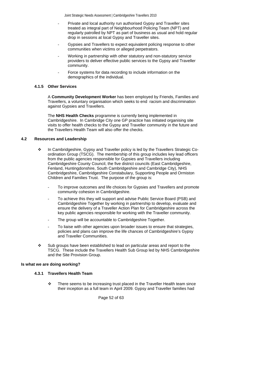- <span id="page-51-0"></span>Private and local authority run authorised Gypsy and Traveller sites treated as integral part of Neighbourhood Policing Team (NPT) and regularly patrolled by NPT as part of business as usual and hold regular drop in sessions at local Gypsy and Traveller sites.
- Gypsies and Travellers to expect equivalent policing response to other communities when victims or alleged perpetrators.
- Working in partnership with other statutory and non-statutory service providers to deliver effective public services to the Gypsy and Traveller community.
- Force systems for data recording to include information on the demographics of the individual.

### **4.1.5 Other Services**

A **Community Development Worker** has been employed by Friends, Families and Travellers, a voluntary organisation which seeks to end racism and discrimination against Gypsies and Travellers.

The **NHS Health Checks** programme is currently being implemented in Cambridgeshire. In Cambridge City one GP practice has initiated organising site visits to offer health checks to the Gypsy and Traveller community in the future and the Travellers Health Team will also offer the checks.

# **4.2 Resources and Leadership**

- $\cdot \cdot$  In Cambridgeshire, Gypsy and Traveller policy is led by the Travellers Strategic Coordination Group (TSCG). The membership of this group includes key lead officers from the public agencies responsible for Gypsies and Travellers including Cambridgeshire County Council, the five district councils (East Cambridgeshire, Fenland, Huntingdonshire, South Cambridgeshire and Cambridge City), NHS Cambridgeshire, Cambridgeshire Constabulary, Supporting People and Ormiston Children and Families Trust. The purpose of the group is:
	- To improve outcomes and life choices for Gypsies and Travellers and promote community cohesion in Cambridgeshire.
	- To achieve this they will support and advise Public Service Board (PSB) and Cambridgeshire Together by working in partnership to develop, evaluate and ensure the delivery of a Traveller Action Plan for Cambridgeshire across the key public agencies responsible for working with the Traveller community.
	- The group will be accountable to Cambridgeshire Together.
	- To liaise with other agencies upon broader issues to ensure that strategies, policies and plans can improve the life chances of Cambridgeshire's Gypsy and Traveller Communities.
- \* Sub groups have been established to lead on particular areas and report to the TSCG. These include the Travellers Health Sub Group led by NHS Cambridgeshire and the Site Provision Group.

# **Is what we are doing working?**

# **4.3.1 Travellers Health Team**

\* There seems to be increasing trust placed in the Traveller Health team since their inception as a full team in April 2009. Gypsy and Traveller families had

Page 52 of 63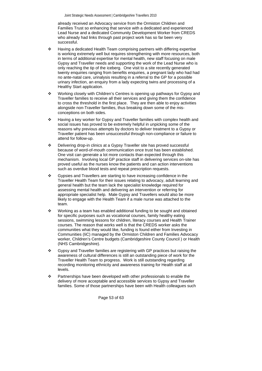already received an Advocacy service from the Ormiston Children and Families Trust so enhancing that service with a dedicated and experienced Lead Nurse and a dedicated Community Development Worker from CREDS who already had links through past project work has so far been very successful.

- Having a dedicated Health Team comprising partners with differing expertise is working extremely well but requires strengthening with more resources, both in terms of additional expertise for mental health, new staff focusing on male Gypsy and Traveller needs and supporting the work of the Lead Nurse who is only reaching the tip of the iceberg. One visit to a site recently generated twenty enquiries ranging from benefits enquiries, a pregnant lady who had had no ante-natal care, urinalysis resulting in a referral to the GP for a possible urinary infection, an enquiry from a lady expecting twins and processing of a Healthy Start application.
- \* Working closely with Children's Centres is opening up pathways for Gypsy and Traveller families to receive all their services and giving them the confidence to cross the threshold in the first place. They are then able to enjoy activities alongside non-Traveller families, thus breaking down some of the misconceptions on both sides.
- $\div$  Having a key worker for Gypsy and Traveller families with complex health and social issues has proved to be extremely helpful in unpicking some of the reasons why previous attempts by doctors to deliver treatment to a Gypsy or Traveller patient has been unsuccessful through non-compliance or failure to attend for follow-up.
- Delivering drop-in clinics at a Gypsy Traveller site has proved successful because of word-of-mouth communication once trust has been established. One visit can generate a lot more contacts than expected through this mechanism. Involving local GP practice staff in delivering services on-site has proved useful as the nurses know the patients and can action interventions such as overdue blood tests and repeat prescription requests.
- Gypsies and Travellers are starting to have increasing confidence in the Traveller Health Team for their issues relating to advocacy, adult learning and general health but the team lack the specialist knowledge required for assessing mental health and delivering an intervention or referring for appropriate specialist help. Male Gypsy and Travellers would also be more likely to engage with the Health Team if a male nurse was attached to the team.
- $\cdot \cdot$  Working as a team has enabled additional funding to be sought and obtained for specific purposes such as vocational courses, family healthy eating sessions, swimming lessons for children, literacy courses and Health Trainer courses. The reason that works well is that the CREDS worker asks the communities what they would like, funding is found either from Investing in Communities (IiC) managed by the Ormiston Children and Families Advocacy worker, Children's Centre budgets (Cambridgeshire County Council ) or Health (NHS Cambridgeshire).
- Gypsy and Traveller families are registering with GP practices but raising the awareness of cultural differences is still an outstanding piece of work for the Traveller Health Team to progress. Work is still outstanding regarding recording monitoring ethnicity and awareness training for Health staff at all levels.
- \* Partnerships have been developed with other professionals to enable the delivery of more acceptable and accessible services to Gypsy and Traveller families. Some of those partnerships have been with Health colleagues such

Page 53 of 63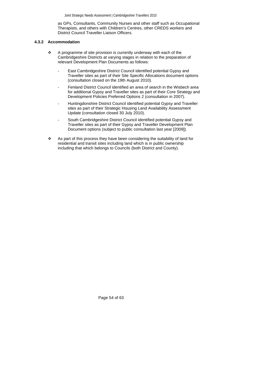as GPs, Consultants, Community Nurses and other staff such as Occupational Therapists, and others with Children's Centres, other CREDS workers and District Council Traveller Liaison Officers.

## <span id="page-53-0"></span> **4.3.2 Accommodation**

- $\div$  A programme of site provision is currently underway with each of the Cambridgeshire Districts at varying stages in relation to the preparation of relevant Development Plan Documents as follows:
	- East Cambridgeshire District Council identified potential Gypsy and Traveller sites as part of their Site Specific Allocations document options (consultation closed on the 19th August 2010).
	- Fenland District Council identified an area of search in the Wisbech area for additional Gypsy and Traveller sites as part of their Core Strategy and Development Policies Preferred Options 2 (consultation in 2007).
	- Huntingdonshire District Council identified potential Gypsy and Traveller sites as part of their Strategic Housing Land Availability Assessment Update (consultation closed 30 July 2010).
	- South Cambridgeshire District Council identified potential Gypsy and Traveller sites as part of their Gypsy and Traveller Development Plan Document options (subject to public consultation last year [2009]).
- As part of this process they have been considering the suitability of land for residential and transit sites including land which is in public ownership including that which belongs to Councils (both District and County).

Page 54 of 63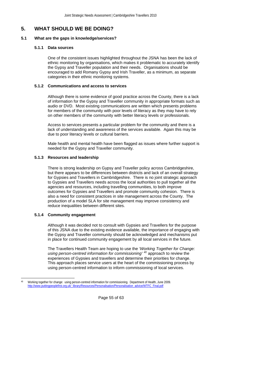# <span id="page-54-0"></span>**5. WHAT SHOULD WE BE DOING?**

#### **5.1 What are the gaps in knowledge/services?**

#### **5.1.1 Data sources**

One of the consistent issues highlighted throughout the JSNA has been the lack of ethnic monitoring by organisations, which makes it problematic to accurately identify the Gypsy and Traveller population and their needs. Organisations should be encouraged to add Romany Gypsy and Irish Traveller, as a minimum, as separate categories in their ethnic monitoring systems.

#### **5.1.2 Communications and access to services**

Although there is some evidence of good practice across the County, there is a lack of information for the Gypsy and Traveller community in appropriate formats such as audio or DVD. Most existing communications are written which presents problems for members of the community with poor levels of literacy as they may have to rely on other members of the community with better literacy levels or professionals.

Access to services presents a particular problem for the community and there is a lack of understanding and awareness of the services available. Again this may be due to poor literacy levels or cultural barriers.

Male health and mental health have been flagged as issues where further support is needed for the Gypsy and Traveller community.

# **5.1.3 Resources and leadership**

There is strong leadership on Gypsy and Traveller policy across Cambridgeshire, but there appears to be differences between districts and lack of an overall strategy for Gypsies and Travellers in Cambridgeshire. There is no joint strategic approach to Gypsies and Travellers needs across the local authorities to pull together all the agencies and resources, including travelling communities, to both improve outcomes for Gypsies and Travellers and promote community cohesion. There is also a need for consistent practices in site management across the County. The production of a model SLA for site management may improve consistency and reduce inequalities between different sites.

#### **5.1.4 Community engagement**

 $\overline{a}$ 

Although it was decided not to consult with Gypsies and Travellers for the purpose of this JSNA due to the existing evidence available, the importance of engaging with the Gypsy and Traveller community should be acknowledged and mechanisms put in place for continued community engagement by all local services in the future.

The Travellers Health Team are hoping to use the *'Working Together for Change: using person-centred information for commissioning' [40](#page-54-1)* approach to review the experiences of Gypsies and travellers and determine their priorities for change. This approach places service users at the heart of the commissioning process by using person-centred information to inform commissioning of local services.

Page 55 of 63

<span id="page-54-1"></span><sup>40</sup> Working together for change: using person-centred information for commissioning. Department of Health, June 2009. [http://www.puttingpeoplefirst.org.uk/\\_library/Resources/Personalisation/Personalisation\\_advice/WTFC\\_Final.pdf](http://www.puttingpeoplefirst.org.uk/_library/Resources/Personalisation/Personalisation_advice/WTFC_Final.pdf)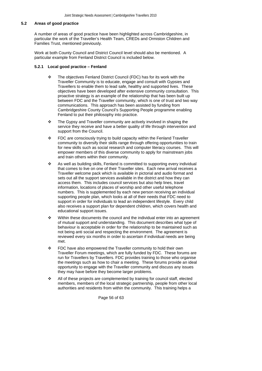#### <span id="page-55-0"></span>**5.2 Areas of good practice**

A number of areas of good practice have been highlighted across Cambridgeshire, in particular the work of the Traveller's Health Team, CREDs and Ormiston Children and Families Trust, mentioned previously.

Work at both County Council and District Council level should also be mentioned. A particular example from Fenland District Council is included below.

#### **5.2.1 Local good practice – Fenland**

- \* The objectives Fenland District Council (FDC) has for its work with the Traveller Community is to educate, engage and consult with Gypsies and Travellers to enable them to lead safe, healthy and supported lives. These objectives have been developed after extensive community consultation. This proactive strategy is an example of the relationship that has been built up between FDC and the Traveller community, which is one of trust and two way communications. This approach has been assisted by funding from Cambridgeshire County Council's Supporting People programme enabling Fenland to put their philosophy into practice.
- $\div$  The Gypsy and Traveller community are actively involved in shaping the service they receive and have a better quality of life through intervention and support from the Council.
- $\div$  FDC are consciously trying to build capacity within the Fenland Traveller community to diversify their skills range through offering opportunities to train for new skills such as social research and computer literacy courses. This will empower members of this diverse community to apply for mainstream jobs and train others within their community.
- \* As well as building skills, Fenland is committed to supporting every individual that comes to live on one of their Traveller sites. Each new arrival receives a Traveller welcome pack which is available in pictorial and audio format and sets out all the support services available in the district and how they can access them. This includes council services but also help lines, travel information, locations of places of worship and other useful telephone numbers. This is supplemented by each new person receiving an individual supporting people plan, which looks at all of their needs that FDC need to support in order for individuals to lead an independent lifestyle. Every child also receives a support plan for dependent children, which covers health and educational support issues.
- $\div$  Within these documents the council and the individual enter into an agreement of mutual support and understanding. This document describes what type of behaviour is acceptable in order for the relationship to be maintained such as not being anti social and respecting the environment. The agreement is reviewed every six months in order to ascertain if individual needs are being met.
- FDC have also empowered the Traveller community to hold their own Traveller Forum meetings, which are fully funded by FDC. These forums are run for Travellers by Travellers. FDC provides training to those who organise the meetings such as how to chair a meeting. These forums provide an ideal opportunity to engage with the Traveller community and discuss any issues they may have before they become larger problems.
- All of these projects are complemented by training for council staff, elected members, members of the local strategic partnership, people from other local authorities and residents from within the community. This training helps a

Page 56 of 63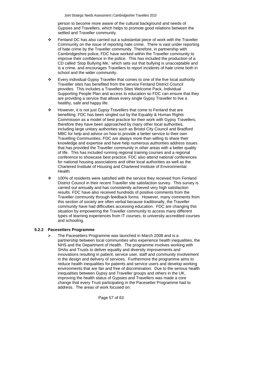person to become more aware of the cultural background and needs of Gypsies and Travellers, which helps to promote good relations between the settled and Traveller community.

- <span id="page-56-0"></span>Fenland DC has also carried out a substantial piece of work with the Traveller Community on the issue of reporting hate crime. There is vast under reporting of hate crime by the Traveller community. Therefore, in partnership with Cambridgeshire police, FDC have worked within the Traveller community to improve their confidence in the police. This has included the production of a CD called 'Stop Bullying Me,' which sets out that bullying is unacceptable and is a crime, and encourages Travellers to report incidents of hate crime both in school and the wider community.
- Every individual Gypsy Traveller that comes to one of the five local authority Traveller sites has benefited from the service Fenland District Council provides. This includes a Travellers Sites Welcome Pack, Individual Supporting People Plan and access to education so FDC can ensure that they are providing a service that allows every single Gypsy Traveller to live a healthy, safe and happy life.
- However, it is not just Gypsy Travellers that come to Fenland that are benefiting. FDC has been singled out by the Equality & Human Rights Commission as a model of best practice for their work with Gypsy Travellers, therefore they have been approached by many other local authorities, including large unitary authorities such as Bristol City Council and Bradford MBC for help and advice on how to provide a better service to their own Travelling Communities. FDC are always more than willing to share their knowledge and expertise and have help numerous authorities address issues that has provided the Traveller community in other areas with a better quality of life. This has included running regional training courses and a regional conference to showcase best practice. FDC also attend national conferences for national housing associations and other local authorities as well as the Chartered Institute of Housing and Chartered Institute of Environmental Health.
- 100% of residents were satisfied with the service they received from Fenland District Council in their recent Traveller site satisfaction survey. This survey is carried out annually and has consistently achieved very high satisfaction results. FDC have also received hundreds of positive comments from the Traveller community through feedback forms. However, many comments from this section of society are often verbal because traditionally, the Traveller community have had difficulties accessing education. FDC are changing this situation by empowering the Traveller community to access many different types of learning experiences from IT courses, to university accredited courses and schooling.

#### **5.2.2 Pacesetters Programme**

The Pacesetters Programme was launched in March 2008 and is a partnership between local communities who experience health inequalities, the NHS and the Department of Health. The programme involves working with SHAs and Trusts to deliver equality and diversity improvements and innovations resulting in patient, service user, staff and community involvement in the design and delivery of services. Furthermore the programme aims to reduce health inequalities for patients and service users and develop working environments that are fair and free of discrimination. Due to the serious health inequalities between Gypsy and Traveller groups and others in the UK, improving the health status of Gypsies and Travellers was made a core change that every Trust participating in the Pacesetter Programme had to address. The areas of work focused on:

Page 57 of 63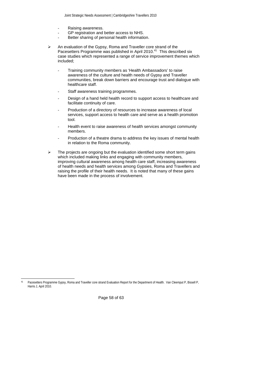- Raising awareness.
- GP registration and better access to NHS.
- Better sharing of personal health information.
- $\geq$  An evaluation of the Gypsy, Roma and Traveller core strand of the Pacesetters Programme was published in April 2010.<sup>[41](#page-57-0)</sup> This described six case studies which represented a range of service improvement themes which included;
	- Training community members as 'Health Ambassadors' to raise awareness of the culture and health needs of Gypsy and Traveller communities, break down barriers and encourage trust and dialogue with healthcare staff.
	- Staff awareness training programmes.
	- Design of a hand held health record to support access to healthcare and facilitate continuity of care.
	- Production of a directory of resources to increase awareness of local services, support access to health care and serve as a health promotion tool.
	- Health event to raise awareness of health services amongst community members.
	- Production of a theatre drama to address the key issues of mental health in relation to the Roma community.
- $\triangleright$  The projects are ongoing but the evaluation identified some short term gains which included making links and engaging with community members, improving cultural awareness among health care staff, increasing awareness of health needs and health services among Gypsies, Roma and Travellers and raising the profile of their health needs. It is noted that many of these gains have been made in the process of involvement.

Page 58 of 63

<span id="page-57-0"></span> $41$ 41 Pacesetters Programme Gypsy, Roma and Traveller core strand Evaluation Report for the Department of Health. Van Cleemput P, Bissell P, Harris J, April 2010.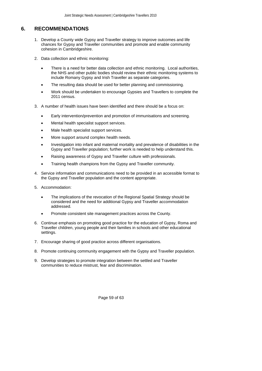# <span id="page-58-0"></span>**6. RECOMMENDATIONS**

- 1. Develop a County wide Gypsy and Traveller strategy to improve outcomes and life chances for Gypsy and Traveller communities and promote and enable community cohesion in Cambridgeshire.
- 2. Data collection and ethnic monitoring:
	- There is a need for better data collection and ethnic monitoring. Local authorities, the NHS and other public bodies should review their ethnic monitoring systems to include Romany Gypsy and Irish Traveller as separate categories.
	- The resulting data should be used for better planning and commissioning.
	- Work should be undertaken to encourage Gypsies and Travellers to complete the 2011 census.
- 3. A number of health issues have been identified and there should be a focus on:
	- Early intervention/prevention and promotion of immunisations and screening.
	- Mental health specialist support services.
	- Male health specialist support services.
	- More support around complex health needs.
	- Investigation into infant and maternal mortality and prevalence of disabilities in the Gypsy and Traveller population; further work is needed to help understand this.
	- Raising awareness of Gypsy and Traveller culture with professionals.
	- Training health champions from the Gypsy and Traveller community.
- 4. Service information and communications need to be provided in an accessible format to the Gypsy and Traveller population and the content appropriate.
- 5. Accommodation:
	- The implications of the revocation of the Regional Spatial Strategy should be considered and the need for additional Gypsy and Traveller accommodation addressed.
	- Promote consistent site management practices across the County.
- 6. Continue emphasis on promoting good practice for the education of Gypsy, Roma and Traveller children, young people and their families in schools and other educational settings.
- 7. Encourage sharing of good practice across different organisations.
- 8. Promote continuing community engagement with the Gypsy and Traveller population.
- 9. Develop strategies to promote integration between the settled and Traveller communities to reduce mistrust, fear and discrimination.

Page 59 of 63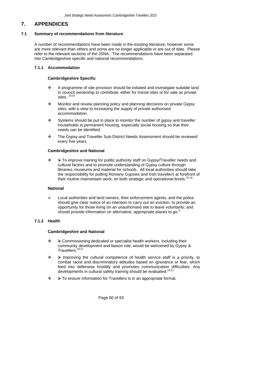# <span id="page-59-0"></span>**7. APPENDICES**

# **7.1 Summary of recommendations from literature**

A number of recommendations have been made in the existing literature, however some are more relevant than others and some are no longer applicable or are out of date. Please refer to the relevant sections of the JSNA. The recommendations have been separated into Cambridgeshire specific and national recommendations.

# **7.1.1 Accommodation**

# **Cambridgeshire Specific**

- $\div$  A programme of site provision should be initiated and investigate suitable land in council ownership to contribute, either for transit sites or for sale as private sites.  $10,16$  $10,16$  $10,16$
- \* Monitor and review planning policy and planning decisions on private Gypsy sites, with a view to increasing the supply of private authorised accommodation.
- Systems should be put in place to monitor the number of gypsy and traveller households in permanent housing, especially social housing so that their needs can be identified.
- \* The Gypsy and Traveller Sub-District Needs Assessment should be reviewed every five years.

# **Cambridgeshire and National**

 ¾ To improve training for public authority staff on Gypsy/Traveller needs and cultural factors and to promote understanding of Gypsy culture through libraries, museums and material for schools.All local authorities should take the responsibility for putting Romany Gypsies and Irish travellers at forefront of their routine mainstream work, on both strategic and operational levels. $^{22,16}$  $^{22,16}$  $^{22,16}$  $^{22,16}$ 

#### **National**

Local authorities and land owners, their enforcement agents, and the police should give clear notice of an intention to carry out an eviction, to provide an opportunity for those living on an unauthorised site to leave voluntarily; and should provide information on alternative, appropriate places to go.<sup>[8](#page-15-5)</sup>

# **7.1.2 Health**

#### **Cambridgeshire and National**

- ¾ Commissioning dedicated or specialist health workers, including their community development and liaison role, would be welcomed by Gypsy & Travellers.<sup>[18](#page-22-4),21</sup>
- $\diamond$  > Improving the cultural competence of health service staff is a priority, to combat racist and discriminatory attitudes based on ignorance or fear, which feed into defensive hostility and promotes communication difficulties. Any developments in cultural safety training should be evaluated.<sup>[18](#page-22-4),21</sup>
- ¾ To ensure information for Travellers is in an appropriate format.

Page 60 of 63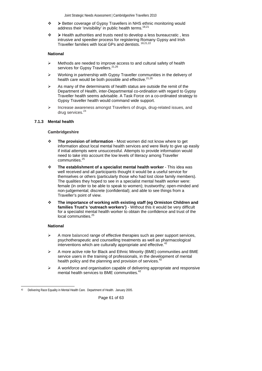- <span id="page-60-0"></span> ¾ Better coverage of Gypsy Travellers in NHS ethnic monitoring would address their 'invisibility' in public health terms.<sup>[18](#page-22-4),21</sup>
- ¾ Health authorities and trusts need to develop a less bureaucratic , less intrusive and speedier process for registering Romany Gypsy and Irish<br>Traveller families with local CBs and deptites  $^{18,21,22}$ Traveller families with local GPs and dentists.

# **National**

- Methods are needed to improve access to and cultural safety of health services for Gypsy Travellers.<sup>[21](#page-23-7),[26](#page-23-12)</sup>
- ¾ Working in partnership with Gypsy Traveller communities in the delivery of health care would be both possible and effective.<sup>[21](#page-23-7)[,26](#page-23-12)</sup>
- As many of the determinants of health status are outside the remit of the Department of Health, inter-Departmental co-ordination with regard to Gypsy Traveller health seems advisable. A Task Force on a co-ordinated strategy to Gypsy Traveller health would command wide support.
- ¾ Increase awareness amongst Travellers of drugs, drug-related issues, and drug services.<sup>[24](#page-23-15)</sup>

# **7.1.3 Mental health**

# **Cambridgeshire**

- **The provision of information**  Most women did not know where to get information about local mental health services and were likely to give up easily if initial attempts were unsuccessful. Attempts to provide information would need to take into account the low levels of literacy among Traveller communities.[25](#page-23-11)
- **The establishment of a specialist mental health worker**  This idea was well received and all participants thought it would be a useful service for themselves or others (particularly those who had lost close family members). The qualities they hoped to see in a specialist mental health worker were: female (in order to be able to speak to women); trustworthy; open-minded and non-judgemental; discrete (confidential); and able to see things from a Traveller's point of view.
- **The importance of working with existing staff (eg Ormiston Children and families Trust's 'outreach workers')** - Without this it would be very difficult for a specialist mental health worker to obtain the confidence and trust of the local communities.<sup>[25](#page-23-11)</sup>

# **National**

- ¾ A more balanced range of effective therapies such as peer support services, psychotherapeutic and counselling treatments as well as pharmacological interventions which are culturally appropriate and effective.
- ¾ A more active role for Black and Ethnic Minority (BME) communities and BME service users in the training of professionals, in the development of mental health policy and the planning and provision of services.<sup>[42](#page-60-2)</sup>
- ¾ A workforce and organisation capable of delivering appropriate and responsive mental health services to BME communities.<sup>42</sup>

Page 61 of 63

<span id="page-60-2"></span><span id="page-60-1"></span> $\overline{a}$ Delivering Race Equality in Mental Health Care. Department of Health. January 2005.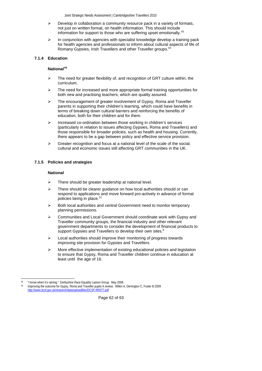- <span id="page-61-0"></span> $\triangleright$  Develop in collaboration a community resource pack in a variety of formats, not just on written format, on health information. This should include information for support to those who are suffering upset emotionally.<sup>[43](#page-61-1)</sup>
- $\triangleright$  In conjunction with agencies with specialist knowledge develop a training pack for health agencies and professionals to inform about cultural aspects of life of Romany Gypsies, Irish Travellers and other Traveller groups.<sup>[43](#page-61-2)</sup>

# <span id="page-61-4"></span><span id="page-61-2"></span> **7.1.4 Education**

# **National[44](#page-61-3)**

- $\triangleright$  The need for greater flexibility of, and recognition of GRT culture within, the curriculum.
- $\triangleright$  The need for increased and more appropriate formal training opportunities for both new and practising teachers, which are quality assured.
- The encouragement of greater involvement of Gypsy, Roma and Traveller parents in supporting their children's learning, which could have benefits in terms of breaking down cultural barriers and reinforcing the benefits of education, both for their children and for them.
- ¾ Increased co-ordination between those working in children's services (particularly in relation to issues affecting Gypsies, Roma and Travellers) and those responsible for broader policies, such as health and housing. Currently, there appears to be a gap between policy and effective service provision.
- $\triangleright$  Greater recognition and focus at a national level of the scale of the social. cultural and economic issues still affecting GRT communities in the UK.

# **7.1.5 Policies and strategies**

# **National**

- $\triangleright$  There should be greater leadership at national level.
- There should be clearer guidance on how local authorities should or can respond to applications and move forward pro-actively in advance of formal policies being in place.<sup>[12](#page-18-1)</sup>
- Both local authorities and central Government need to monitor temporary planning permissions.
- ¾ Communities and Local Government should coordinate work with Gypsy and Traveller community groups, the financial industry and other relevant government departments to consider the development of financial products to support Gypsies and Travellers to develop their own sites.<sup>[8](#page-15-5)</sup>
- $\triangleright$  Local authorities should improve their monitoring of progress towards improving site provision for Gypsies and Travellers.
- $\triangleright$  More effective implementation of existing educational policies and legislation to ensure that Gypsy, Roma and Traveller children continue in education at least until the age of 16.

l

Page 62 of 63

<sup>43 &</sup>quot;I know when it's raining." Derbyshire Race Equality Liaison Group. May 2008.

<span id="page-61-3"></span><span id="page-61-1"></span><sup>44</sup> Improving the outcome for Gypsy, Roma and Traveller pupils A review. Wilkin A, Derrington C, Foster B 2009 <http://www.dcsf.gov.uk/research/data/uploadfiles/DCSF-RR077.pdf>